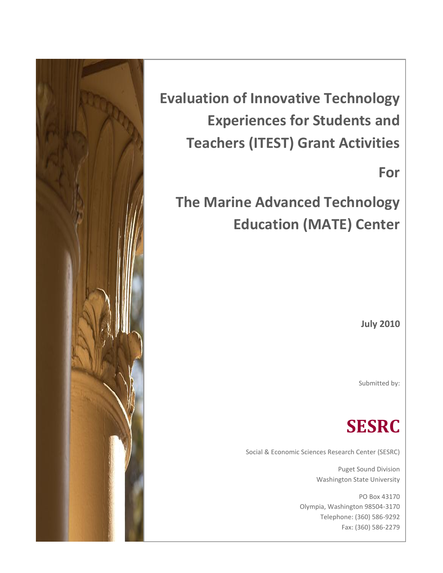

**Evaluation of Innovative Technology Experiences for Students and Teachers (ITEST) Grant Activities**

**For**

**The Marine Advanced Technology Education (MATE) Center**

**July 2010**

Submitted by:

# **SESRC**

Social & Economic Sciences Research Center (SESRC)

Puget Sound Division Washington State University

PO Box 43170 Olympia, Washington 98504-3170 Telephone: (360) 586-9292 Fax: (360) 586-2279

/www.sesrc.wsu.edu/PugetSound/default.htm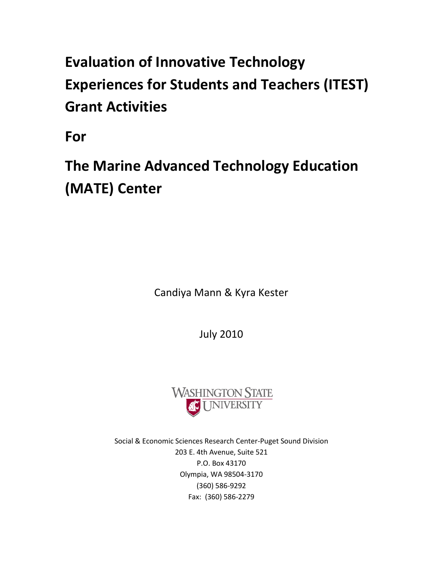# **Evaluation of Innovative Technology Experiences for Students and Teachers (ITEST) Grant Activities**

**For**

**The Marine Advanced Technology Education (MATE) Center**

Candiya Mann & Kyra Kester

July 2010



Social & Economic Sciences Research Center-Puget Sound Division 203 E. 4th Avenue, Suite 521 P.O. Box 43170 Olympia, WA 98504-3170 (360) 586-9292 Fax: (360) 586-2279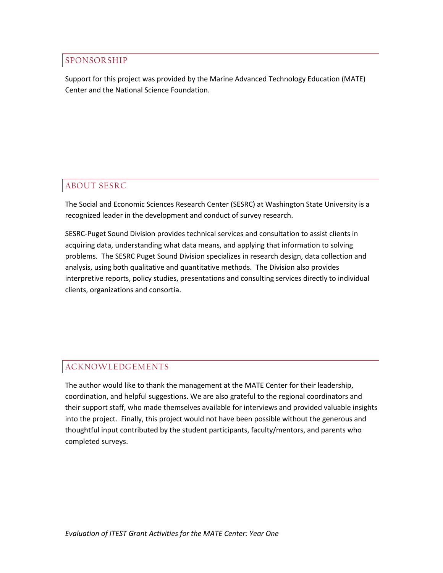## SPONSORSHIP

Support for this project was provided by the Marine Advanced Technology Education (MATE) Center and the National Science Foundation.

## ABOUT SESRC

The Social and Economic Sciences Research Center (SESRC) at Washington State University is a recognized leader in the development and conduct of survey research.

SESRC-Puget Sound Division provides technical services and consultation to assist clients in acquiring data, understanding what data means, and applying that information to solving problems. The SESRC Puget Sound Division specializes in research design, data collection and analysis, using both qualitative and quantitative methods. The Division also provides interpretive reports, policy studies, presentations and consulting services directly to individual clients, organizations and consortia.

## ACKNOWLEDGEMENTS

The author would like to thank the management at the MATE Center for their leadership, coordination, and helpful suggestions. We are also grateful to the regional coordinators and their support staff, who made themselves available for interviews and provided valuable insights into the project. Finally, this project would not have been possible without the generous and thoughtful input contributed by the student participants, faculty/mentors, and parents who completed surveys.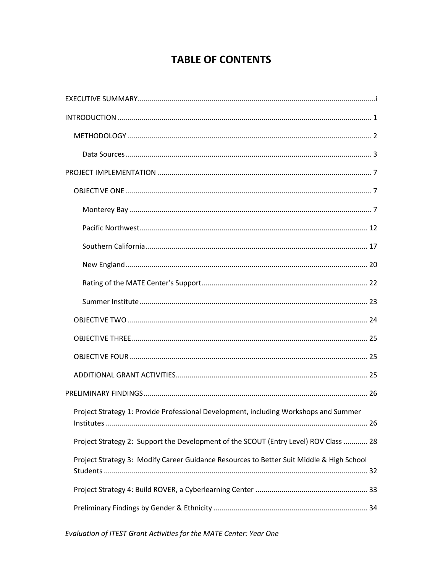## **TABLE OF CONTENTS**

| Project Strategy 1: Provide Professional Development, including Workshops and Summer     |
|------------------------------------------------------------------------------------------|
| Project Strategy 2: Support the Development of the SCOUT (Entry Level) ROV Class  28     |
| Project Strategy 3: Modify Career Guidance Resources to Better Suit Middle & High School |
|                                                                                          |
|                                                                                          |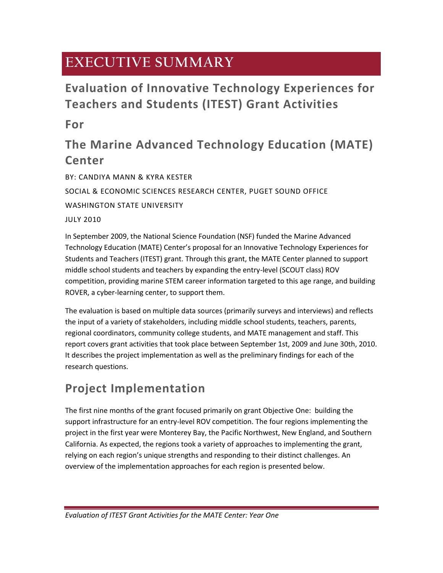## **EXECUTIVE SUMMARY**

## **Evaluation of Innovative Technology Experiences for Teachers and Students (ITEST) Grant Activities**

**For**

## **The Marine Advanced Technology Education (MATE) Center**

BY: CANDIYA MANN & KYRA KESTER SOCIAL & ECONOMIC SCIENCES RESEARCH CENTER, PUGET SOUND OFFICE WASHINGTON STATE UNIVERSITY JULY 2010

In September 2009, the National Science Foundation (NSF) funded the Marine Advanced Technology Education (MATE) Center's proposal for an Innovative Technology Experiences for Students and Teachers (ITEST) grant. Through this grant, the MATE Center planned to support middle school students and teachers by expanding the entry-level (SCOUT class) ROV competition, providing marine STEM career information targeted to this age range, and building ROVER, a cyber-learning center, to support them.

The evaluation is based on multiple data sources (primarily surveys and interviews) and reflects the input of a variety of stakeholders, including middle school students, teachers, parents, regional coordinators, community college students, and MATE management and staff. This report covers grant activities that took place between September 1st, 2009 and June 30th, 2010. It describes the project implementation as well as the preliminary findings for each of the research questions.

## **Project Implementation**

The first nine months of the grant focused primarily on grant Objective One: building the support infrastructure for an entry-level ROV competition. The four regions implementing the project in the first year were Monterey Bay, the Pacific Northwest, New England, and Southern California. As expected, the regions took a variety of approaches to implementing the grant, relying on each region's unique strengths and responding to their distinct challenges. An overview of the implementation approaches for each region is presented below.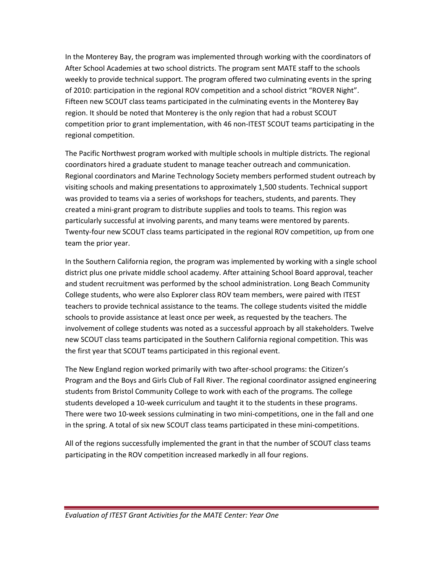In the Monterey Bay, the program was implemented through working with the coordinators of After School Academies at two school districts. The program sent MATE staff to the schools weekly to provide technical support. The program offered two culminating events in the spring of 2010: participation in the regional ROV competition and a school district "ROVER Night". Fifteen new SCOUT class teams participated in the culminating events in the Monterey Bay region. It should be noted that Monterey is the only region that had a robust SCOUT competition prior to grant implementation, with 46 non-ITEST SCOUT teams participating in the regional competition.

The Pacific Northwest program worked with multiple schools in multiple districts. The regional coordinators hired a graduate student to manage teacher outreach and communication. Regional coordinators and Marine Technology Society members performed student outreach by visiting schools and making presentations to approximately 1,500 students. Technical support was provided to teams via a series of workshops for teachers, students, and parents. They created a mini-grant program to distribute supplies and tools to teams. This region was particularly successful at involving parents, and many teams were mentored by parents. Twenty-four new SCOUT class teams participated in the regional ROV competition, up from one team the prior year.

In the Southern California region, the program was implemented by working with a single school district plus one private middle school academy. After attaining School Board approval, teacher and student recruitment was performed by the school administration. Long Beach Community College students, who were also Explorer class ROV team members, were paired with ITEST teachers to provide technical assistance to the teams. The college students visited the middle schools to provide assistance at least once per week, as requested by the teachers. The involvement of college students was noted as a successful approach by all stakeholders. Twelve new SCOUT class teams participated in the Southern California regional competition. This was the first year that SCOUT teams participated in this regional event.

The New England region worked primarily with two after-school programs: the Citizen's Program and the Boys and Girls Club of Fall River. The regional coordinator assigned engineering students from Bristol Community College to work with each of the programs. The college students developed a 10-week curriculum and taught it to the students in these programs. There were two 10-week sessions culminating in two mini-competitions, one in the fall and one in the spring. A total of six new SCOUT class teams participated in these mini-competitions.

All of the regions successfully implemented the grant in that the number of SCOUT class teams participating in the ROV competition increased markedly in all four regions.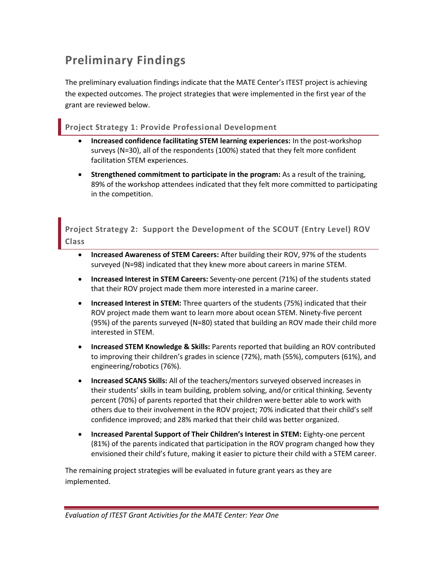## **Preliminary Findings**

The preliminary evaluation findings indicate that the MATE Center's ITEST project is achieving the expected outcomes. The project strategies that were implemented in the first year of the grant are reviewed below.

## **Project Strategy 1: Provide Professional Development**

- **Increased confidence facilitating STEM learning experiences:** In the post-workshop surveys (N=30), all of the respondents (100%) stated that they felt more confident facilitation STEM experiences.
- **Strengthened commitment to participate in the program:** As a result of the training, 89% of the workshop attendees indicated that they felt more committed to participating in the competition.

**Project Strategy 2: Support the Development of the SCOUT (Entry Level) ROV Class**

- **Increased Awareness of STEM Careers:** After building their ROV, 97% of the students surveyed (N=98) indicated that they knew more about careers in marine STEM.
- **Increased Interest in STEM Careers:** Seventy-one percent (71%) of the students stated that their ROV project made them more interested in a marine career.
- **Increased Interest in STEM:** Three quarters of the students (75%) indicated that their ROV project made them want to learn more about ocean STEM. Ninety-five percent (95%) of the parents surveyed (N=80) stated that building an ROV made their child more interested in STEM.
- **Increased STEM Knowledge & Skills:** Parents reported that building an ROV contributed to improving their children's grades in science (72%), math (55%), computers (61%), and engineering/robotics (76%).
- **Increased SCANS Skills:** All of the teachers/mentors surveyed observed increases in their students' skills in team building, problem solving, and/or critical thinking. Seventy percent (70%) of parents reported that their children were better able to work with others due to their involvement in the ROV project; 70% indicated that their child's self confidence improved; and 28% marked that their child was better organized.
- **Increased Parental Support of Their Children's Interest in STEM:** Eighty-one percent (81%) of the parents indicated that participation in the ROV program changed how they envisioned their child's future, making it easier to picture their child with a STEM career.

The remaining project strategies will be evaluated in future grant years as they are implemented.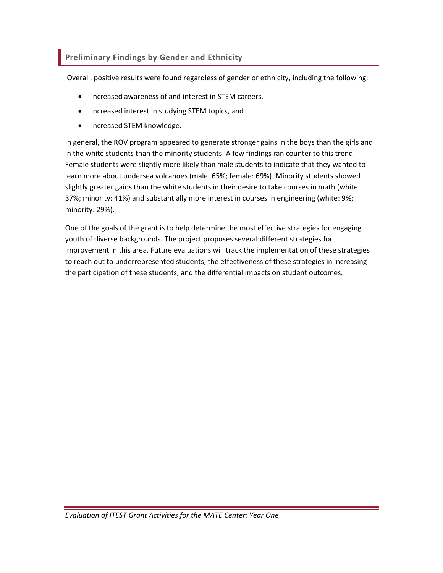## **Preliminary Findings by Gender and Ethnicity**

Overall, positive results were found regardless of gender or ethnicity, including the following:

- increased awareness of and interest in STEM careers,
- increased interest in studying STEM topics, and
- increased STEM knowledge.

In general, the ROV program appeared to generate stronger gains in the boys than the girls and in the white students than the minority students. A few findings ran counter to this trend. Female students were slightly more likely than male students to indicate that they wanted to learn more about undersea volcanoes (male: 65%; female: 69%). Minority students showed slightly greater gains than the white students in their desire to take courses in math (white: 37%; minority: 41%) and substantially more interest in courses in engineering (white: 9%; minority: 29%).

One of the goals of the grant is to help determine the most effective strategies for engaging youth of diverse backgrounds. The project proposes several different strategies for improvement in this area. Future evaluations will track the implementation of these strategies to reach out to underrepresented students, the effectiveness of these strategies in increasing the participation of these students, and the differential impacts on student outcomes.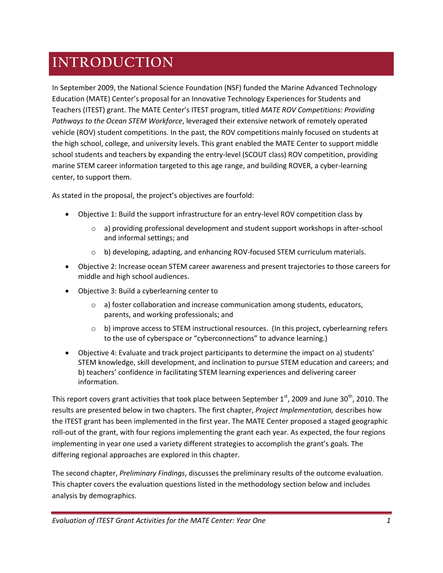# **INTRODUCTION**

In September 2009, the National Science Foundation (NSF) funded the Marine Advanced Technology Education (MATE) Center's proposal for an Innovative Technology Experiences for Students and Teachers (ITEST) grant. The MATE Center's ITEST program, titled *MATE ROV Competitions: Providing Pathways to the Ocean STEM Workforce*, leveraged their extensive network of remotely operated vehicle (ROV) student competitions. In the past, the ROV competitions mainly focused on students at the high school, college, and university levels. This grant enabled the MATE Center to support middle school students and teachers by expanding the entry-level (SCOUT class) ROV competition, providing marine STEM career information targeted to this age range, and building ROVER, a cyber-learning center, to support them.

As stated in the proposal, the project's objectives are fourfold:

- Objective 1: Build the support infrastructure for an entry-level ROV competition class by
	- $\circ$  a) providing professional development and student support workshops in after-school and informal settings; and
	- $\circ$  b) developing, adapting, and enhancing ROV-focused STEM curriculum materials.
- Objective 2: Increase ocean STEM career awareness and present trajectories to those careers for middle and high school audiences.
- Objective 3: Build a cyberlearning center to
	- $\circ$  a) foster collaboration and increase communication among students, educators, parents, and working professionals; and
	- $\circ$  b) improve access to STEM instructional resources. (In this project, cyberlearning refers to the use of cyberspace or "cyberconnections" to advance learning.)
- Objective 4: Evaluate and track project participants to determine the impact on a) students' STEM knowledge, skill development, and inclination to pursue STEM education and careers; and b) teachers' confidence in facilitating STEM learning experiences and delivering career information.

This report covers grant activities that took place between September  $1<sup>st</sup>$ , 2009 and June 30<sup>th</sup>, 2010. The results are presented below in two chapters. The first chapter, *Project Implementation,* describes how the ITEST grant has been implemented in the first year. The MATE Center proposed a staged geographic roll-out of the grant, with four regions implementing the grant each year. As expected, the four regions implementing in year one used a variety different strategies to accomplish the grant's goals. The differing regional approaches are explored in this chapter.

The second chapter, *Preliminary Findings*, discusses the preliminary results of the outcome evaluation. This chapter covers the evaluation questions listed in the methodology section below and includes analysis by demographics.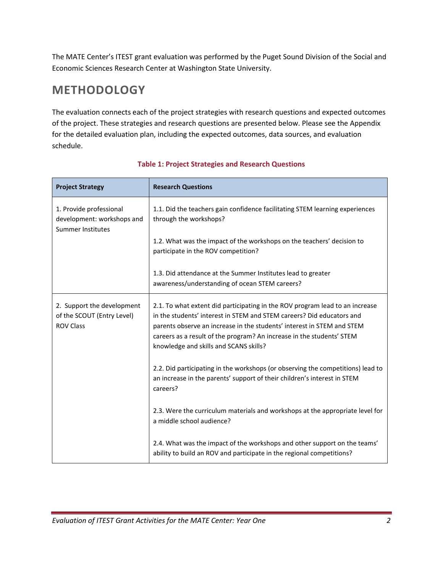The MATE Center's ITEST grant evaluation was performed by the Puget Sound Division of the Social and Economic Sciences Research Center at Washington State University.

## **METHODOLOGY**

The evaluation connects each of the project strategies with research questions and expected outcomes of the project. These strategies and research questions are presented below. Please see the Appendix for the detailed evaluation plan, including the expected outcomes, data sources, and evaluation schedule.

| <b>Project Strategy</b>                                                           | <b>Research Questions</b>                                                                                                                                                                                                                                                                                                                          |
|-----------------------------------------------------------------------------------|----------------------------------------------------------------------------------------------------------------------------------------------------------------------------------------------------------------------------------------------------------------------------------------------------------------------------------------------------|
| 1. Provide professional<br>development: workshops and<br><b>Summer Institutes</b> | 1.1. Did the teachers gain confidence facilitating STEM learning experiences<br>through the workshops?                                                                                                                                                                                                                                             |
|                                                                                   | 1.2. What was the impact of the workshops on the teachers' decision to<br>participate in the ROV competition?                                                                                                                                                                                                                                      |
|                                                                                   | 1.3. Did attendance at the Summer Institutes lead to greater<br>awareness/understanding of ocean STEM careers?                                                                                                                                                                                                                                     |
| 2. Support the development<br>of the SCOUT (Entry Level)<br><b>ROV Class</b>      | 2.1. To what extent did participating in the ROV program lead to an increase<br>in the students' interest in STEM and STEM careers? Did educators and<br>parents observe an increase in the students' interest in STEM and STEM<br>careers as a result of the program? An increase in the students' STEM<br>knowledge and skills and SCANS skills? |
|                                                                                   | 2.2. Did participating in the workshops (or observing the competitions) lead to<br>an increase in the parents' support of their children's interest in STEM<br>careers?                                                                                                                                                                            |
|                                                                                   | 2.3. Were the curriculum materials and workshops at the appropriate level for<br>a middle school audience?                                                                                                                                                                                                                                         |
|                                                                                   | 2.4. What was the impact of the workshops and other support on the teams'<br>ability to build an ROV and participate in the regional competitions?                                                                                                                                                                                                 |

### **Table 1: Project Strategies and Research Questions**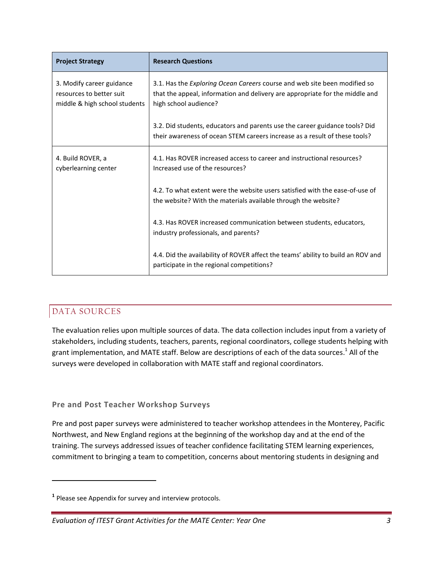| <b>Project Strategy</b>                                                                | <b>Research Questions</b>                                                                                                                                                          |
|----------------------------------------------------------------------------------------|------------------------------------------------------------------------------------------------------------------------------------------------------------------------------------|
| 3. Modify career guidance<br>resources to better suit<br>middle & high school students | 3.1. Has the Exploring Ocean Careers course and web site been modified so<br>that the appeal, information and delivery are appropriate for the middle and<br>high school audience? |
|                                                                                        | 3.2. Did students, educators and parents use the career guidance tools? Did<br>their awareness of ocean STEM careers increase as a result of these tools?                          |
| 4. Build ROVER, a<br>cyberlearning center                                              | 4.1. Has ROVER increased access to career and instructional resources?<br>Increased use of the resources?                                                                          |
|                                                                                        | 4.2. To what extent were the website users satisfied with the ease-of-use of<br>the website? With the materials available through the website?                                     |
|                                                                                        | 4.3. Has ROVER increased communication between students, educators,<br>industry professionals, and parents?                                                                        |
|                                                                                        | 4.4. Did the availability of ROVER affect the teams' ability to build an ROV and<br>participate in the regional competitions?                                                      |

## DATA SOURCES

 $\overline{\phantom{a}}$ 

The evaluation relies upon multiple sources of data. The data collection includes input from a variety of stakeholders, including students, teachers, parents, regional coordinators, college students helping with grant implementation, and MATE staff. Below are descriptions of each of the data sources.<sup>1</sup> All of the surveys were developed in collaboration with MATE staff and regional coordinators.

### **Pre and Post Teacher Workshop Surveys**

Pre and post paper surveys were administered to teacher workshop attendees in the Monterey, Pacific Northwest, and New England regions at the beginning of the workshop day and at the end of the training. The surveys addressed issues of teacher confidence facilitating STEM learning experiences, commitment to bringing a team to competition, concerns about mentoring students in designing and

**<sup>1</sup>** Please see Appendix for survey and interview protocols.

*Evaluation of ITEST Grant Activities for the MATE Center: Year One 3*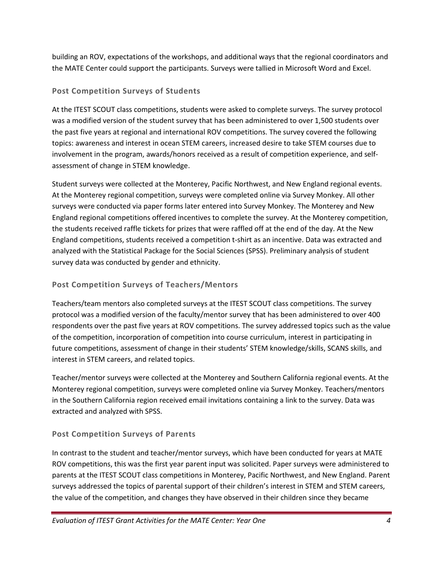building an ROV, expectations of the workshops, and additional ways that the regional coordinators and the MATE Center could support the participants. Surveys were tallied in Microsoft Word and Excel.

### **Post Competition Surveys of Students**

At the ITEST SCOUT class competitions, students were asked to complete surveys. The survey protocol was a modified version of the student survey that has been administered to over 1,500 students over the past five years at regional and international ROV competitions. The survey covered the following topics: awareness and interest in ocean STEM careers, increased desire to take STEM courses due to involvement in the program, awards/honors received as a result of competition experience, and selfassessment of change in STEM knowledge.

Student surveys were collected at the Monterey, Pacific Northwest, and New England regional events. At the Monterey regional competition, surveys were completed online via Survey Monkey. All other surveys were conducted via paper forms later entered into Survey Monkey. The Monterey and New England regional competitions offered incentives to complete the survey. At the Monterey competition, the students received raffle tickets for prizes that were raffled off at the end of the day. At the New England competitions, students received a competition t-shirt as an incentive. Data was extracted and analyzed with the Statistical Package for the Social Sciences (SPSS). Preliminary analysis of student survey data was conducted by gender and ethnicity.

### **Post Competition Surveys of Teachers/Mentors**

Teachers/team mentors also completed surveys at the ITEST SCOUT class competitions. The survey protocol was a modified version of the faculty/mentor survey that has been administered to over 400 respondents over the past five years at ROV competitions. The survey addressed topics such as the value of the competition, incorporation of competition into course curriculum, interest in participating in future competitions, assessment of change in their students' STEM knowledge/skills, SCANS skills, and interest in STEM careers, and related topics.

Teacher/mentor surveys were collected at the Monterey and Southern California regional events. At the Monterey regional competition, surveys were completed online via Survey Monkey. Teachers/mentors in the Southern California region received email invitations containing a link to the survey. Data was extracted and analyzed with SPSS.

### **Post Competition Surveys of Parents**

In contrast to the student and teacher/mentor surveys, which have been conducted for years at MATE ROV competitions, this was the first year parent input was solicited. Paper surveys were administered to parents at the ITEST SCOUT class competitions in Monterey, Pacific Northwest, and New England. Parent surveys addressed the topics of parental support of their children's interest in STEM and STEM careers, the value of the competition, and changes they have observed in their children since they became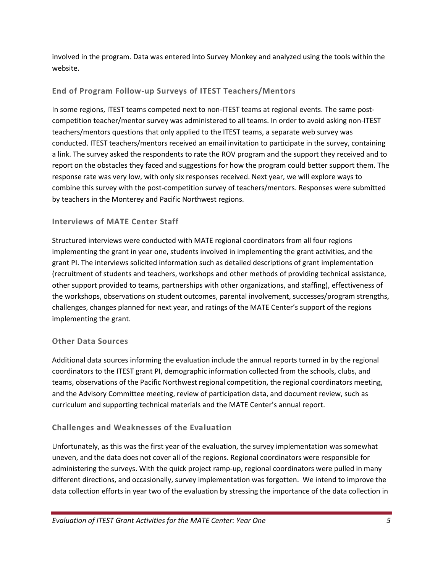involved in the program. Data was entered into Survey Monkey and analyzed using the tools within the website.

### **End of Program Follow-up Surveys of ITEST Teachers/Mentors**

In some regions, ITEST teams competed next to non-ITEST teams at regional events. The same postcompetition teacher/mentor survey was administered to all teams. In order to avoid asking non-ITEST teachers/mentors questions that only applied to the ITEST teams, a separate web survey was conducted. ITEST teachers/mentors received an email invitation to participate in the survey, containing a link. The survey asked the respondents to rate the ROV program and the support they received and to report on the obstacles they faced and suggestions for how the program could better support them. The response rate was very low, with only six responses received. Next year, we will explore ways to combine this survey with the post-competition survey of teachers/mentors. Responses were submitted by teachers in the Monterey and Pacific Northwest regions.

### **Interviews of MATE Center Staff**

Structured interviews were conducted with MATE regional coordinators from all four regions implementing the grant in year one, students involved in implementing the grant activities, and the grant PI. The interviews solicited information such as detailed descriptions of grant implementation (recruitment of students and teachers, workshops and other methods of providing technical assistance, other support provided to teams, partnerships with other organizations, and staffing), effectiveness of the workshops, observations on student outcomes, parental involvement, successes/program strengths, challenges, changes planned for next year, and ratings of the MATE Center's support of the regions implementing the grant.

### **Other Data Sources**

Additional data sources informing the evaluation include the annual reports turned in by the regional coordinators to the ITEST grant PI, demographic information collected from the schools, clubs, and teams, observations of the Pacific Northwest regional competition, the regional coordinators meeting, and the Advisory Committee meeting, review of participation data, and document review, such as curriculum and supporting technical materials and the MATE Center's annual report.

### **Challenges and Weaknesses of the Evaluation**

Unfortunately, as this was the first year of the evaluation, the survey implementation was somewhat uneven, and the data does not cover all of the regions. Regional coordinators were responsible for administering the surveys. With the quick project ramp-up, regional coordinators were pulled in many different directions, and occasionally, survey implementation was forgotten. We intend to improve the data collection efforts in year two of the evaluation by stressing the importance of the data collection in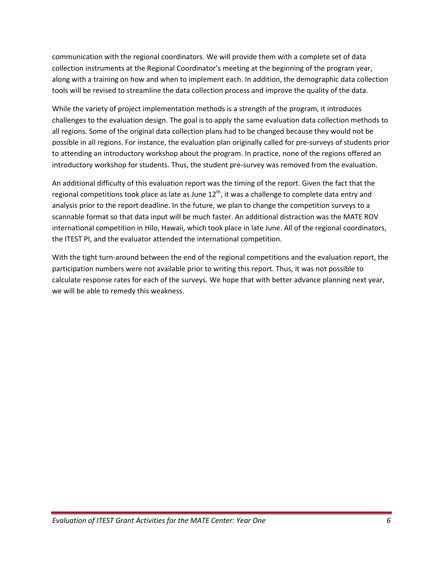communication with the regional coordinators. We will provide them with a complete set of data collection instruments at the Regional Coordinator's meeting at the beginning of the program year, along with a training on how and when to implement each. In addition, the demographic data collection tools will be revised to streamline the data collection process and improve the quality of the data.

While the variety of project implementation methods is a strength of the program, it introduces challenges to the evaluation design. The goal is to apply the same evaluation data collection methods to all regions. Some of the original data collection plans had to be changed because they would not be possible in all regions. For instance, the evaluation plan originally called for pre-surveys of students prior to attending an introductory workshop about the program. In practice, none of the regions offered an introductory workshop for students. Thus, the student pre-survey was removed from the evaluation.

An additional difficulty of this evaluation report was the timing of the report. Given the fact that the regional competitions took place as late as June  $12<sup>th</sup>$ , it was a challenge to complete data entry and analysis prior to the report deadline. In the future, we plan to change the competition surveys to a scannable format so that data input will be much faster. An additional distraction was the MATE ROV international competition in Hilo, Hawaii, which took place in late June. All of the regional coordinators, the ITEST PI, and the evaluator attended the international competition.

With the tight turn-around between the end of the regional competitions and the evaluation report, the participation numbers were not available prior to writing this report. Thus, it was not possible to calculate response rates for each of the surveys. We hope that with better advance planning next year, we will be able to remedy this weakness.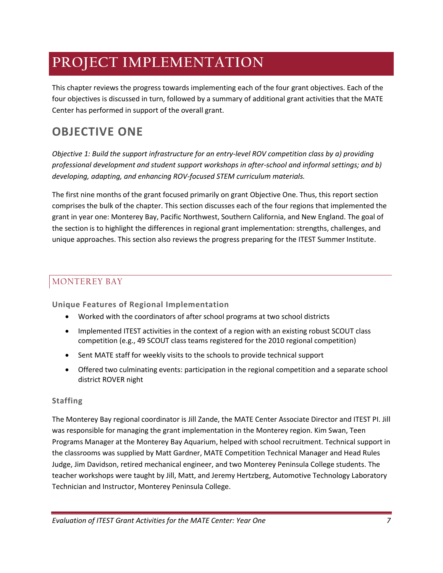# **PROJECT IMPLEMENTATION**

This chapter reviews the progress towards implementing each of the four grant objectives. Each of the four objectives is discussed in turn, followed by a summary of additional grant activities that the MATE Center has performed in support of the overall grant.

## **OBJECTIVE ONE**

*Objective 1: Build the support infrastructure for an entry-level ROV competition class by a) providing professional development and student support workshops in after-school and informal settings; and b) developing, adapting, and enhancing ROV-focused STEM curriculum materials.*

The first nine months of the grant focused primarily on grant Objective One. Thus, this report section comprises the bulk of the chapter. This section discusses each of the four regions that implemented the grant in year one: Monterey Bay, Pacific Northwest, Southern California, and New England. The goal of the section is to highlight the differences in regional grant implementation: strengths, challenges, and unique approaches. This section also reviews the progress preparing for the ITEST Summer Institute.

## MONTEREY BAY

**Unique Features of Regional Implementation**

- Worked with the coordinators of after school programs at two school districts
- Implemented ITEST activities in the context of a region with an existing robust SCOUT class competition (e.g., 49 SCOUT class teams registered for the 2010 regional competition)
- Sent MATE staff for weekly visits to the schools to provide technical support
- Offered two culminating events: participation in the regional competition and a separate school district ROVER night

### **Staffing**

The Monterey Bay regional coordinator is Jill Zande, the MATE Center Associate Director and ITEST PI. Jill was responsible for managing the grant implementation in the Monterey region. Kim Swan, Teen Programs Manager at the Monterey Bay Aquarium, helped with school recruitment. Technical support in the classrooms was supplied by Matt Gardner, MATE Competition Technical Manager and Head Rules Judge, Jim Davidson, retired mechanical engineer, and two Monterey Peninsula College students. The teacher workshops were taught by Jill, Matt, and Jeremy Hertzberg, Automotive Technology Laboratory Technician and Instructor, Monterey Peninsula College.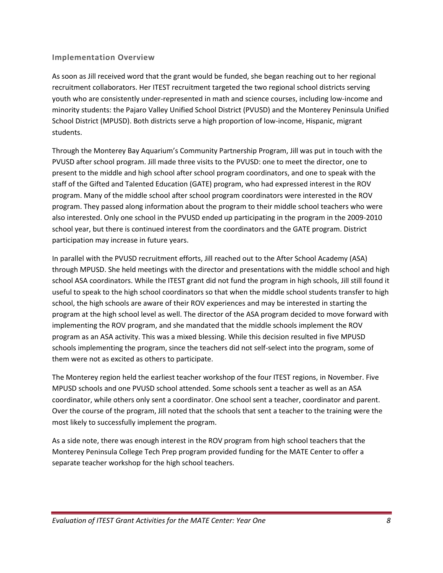#### **Implementation Overview**

As soon as Jill received word that the grant would be funded, she began reaching out to her regional recruitment collaborators. Her ITEST recruitment targeted the two regional school districts serving youth who are consistently under-represented in math and science courses, including low-income and minority students: the Pajaro Valley Unified School District (PVUSD) and the Monterey Peninsula Unified School District (MPUSD). Both districts serve a high proportion of low-income, Hispanic, migrant students.

Through the Monterey Bay Aquarium's Community Partnership Program, Jill was put in touch with the PVUSD after school program. Jill made three visits to the PVUSD: one to meet the director, one to present to the middle and high school after school program coordinators, and one to speak with the staff of the Gifted and Talented Education (GATE) program, who had expressed interest in the ROV program. Many of the middle school after school program coordinators were interested in the ROV program. They passed along information about the program to their middle school teachers who were also interested. Only one school in the PVUSD ended up participating in the program in the 2009-2010 school year, but there is continued interest from the coordinators and the GATE program. District participation may increase in future years.

In parallel with the PVUSD recruitment efforts, Jill reached out to the After School Academy (ASA) through MPUSD. She held meetings with the director and presentations with the middle school and high school ASA coordinators. While the ITEST grant did not fund the program in high schools, Jill still found it useful to speak to the high school coordinators so that when the middle school students transfer to high school, the high schools are aware of their ROV experiences and may be interested in starting the program at the high school level as well. The director of the ASA program decided to move forward with implementing the ROV program, and she mandated that the middle schools implement the ROV program as an ASA activity. This was a mixed blessing. While this decision resulted in five MPUSD schools implementing the program, since the teachers did not self-select into the program, some of them were not as excited as others to participate.

The Monterey region held the earliest teacher workshop of the four ITEST regions, in November. Five MPUSD schools and one PVUSD school attended. Some schools sent a teacher as well as an ASA coordinator, while others only sent a coordinator. One school sent a teacher, coordinator and parent. Over the course of the program, Jill noted that the schools that sent a teacher to the training were the most likely to successfully implement the program.

As a side note, there was enough interest in the ROV program from high school teachers that the Monterey Peninsula College Tech Prep program provided funding for the MATE Center to offer a separate teacher workshop for the high school teachers.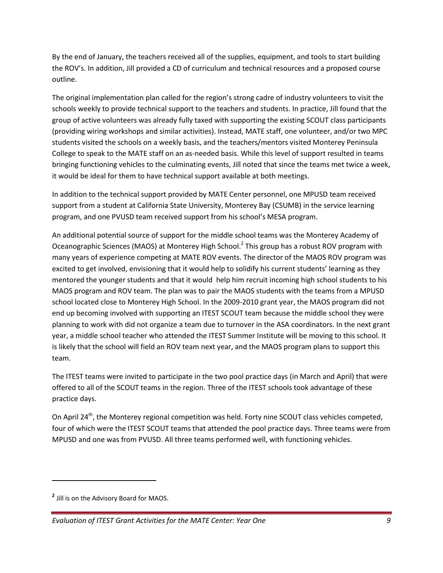By the end of January, the teachers received all of the supplies, equipment, and tools to start building the ROV's. In addition, Jill provided a CD of curriculum and technical resources and a proposed course outline.

The original implementation plan called for the region's strong cadre of industry volunteers to visit the schools weekly to provide technical support to the teachers and students. In practice, Jill found that the group of active volunteers was already fully taxed with supporting the existing SCOUT class participants (providing wiring workshops and similar activities). Instead, MATE staff, one volunteer, and/or two MPC students visited the schools on a weekly basis, and the teachers/mentors visited Monterey Peninsula College to speak to the MATE staff on an as-needed basis. While this level of support resulted in teams bringing functioning vehicles to the culminating events, Jill noted that since the teams met twice a week, it would be ideal for them to have technical support available at both meetings.

In addition to the technical support provided by MATE Center personnel, one MPUSD team received support from a student at California State University, Monterey Bay (CSUMB) in the service learning program, and one PVUSD team received support from his school's MESA program.

An additional potential source of support for the middle school teams was the Monterey Academy of Oceanographic Sciences (MAOS) at Monterey High School.<sup>2</sup> This group has a robust ROV program with many years of experience competing at MATE ROV events. The director of the MAOS ROV program was excited to get involved, envisioning that it would help to solidify his current students' learning as they mentored the younger students and that it would help him recruit incoming high school students to his MAOS program and ROV team. The plan was to pair the MAOS students with the teams from a MPUSD school located close to Monterey High School. In the 2009-2010 grant year, the MAOS program did not end up becoming involved with supporting an ITEST SCOUT team because the middle school they were planning to work with did not organize a team due to turnover in the ASA coordinators. In the next grant year, a middle school teacher who attended the ITEST Summer Institute will be moving to this school. It is likely that the school will field an ROV team next year, and the MAOS program plans to support this team.

The ITEST teams were invited to participate in the two pool practice days (in March and April) that were offered to all of the SCOUT teams in the region. Three of the ITEST schools took advantage of these practice days.

On April 24<sup>th</sup>, the Monterey regional competition was held. Forty nine SCOUT class vehicles competed, four of which were the ITEST SCOUT teams that attended the pool practice days. Three teams were from MPUSD and one was from PVUSD. All three teams performed well, with functioning vehicles.

 $\overline{\phantom{a}}$ 

**<sup>2</sup>** Jill is on the Advisory Board for MAOS.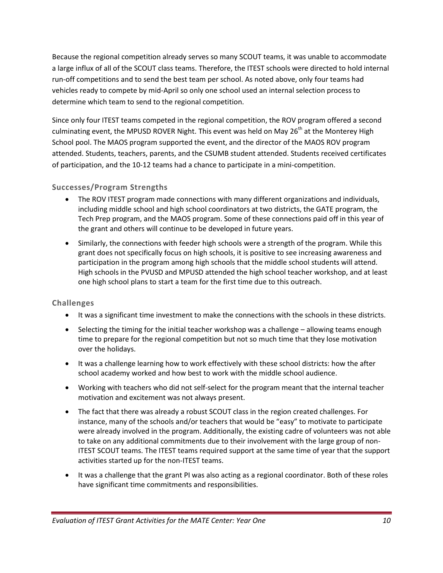Because the regional competition already serves so many SCOUT teams, it was unable to accommodate a large influx of all of the SCOUT class teams. Therefore, the ITEST schools were directed to hold internal run-off competitions and to send the best team per school. As noted above, only four teams had vehicles ready to compete by mid-April so only one school used an internal selection process to determine which team to send to the regional competition.

Since only four ITEST teams competed in the regional competition, the ROV program offered a second culminating event, the MPUSD ROVER Night. This event was held on May  $26<sup>th</sup>$  at the Monterey High School pool. The MAOS program supported the event, and the director of the MAOS ROV program attended. Students, teachers, parents, and the CSUMB student attended. Students received certificates of participation, and the 10-12 teams had a chance to participate in a mini-competition.

### **Successes/Program Strengths**

- The ROV ITEST program made connections with many different organizations and individuals, including middle school and high school coordinators at two districts, the GATE program, the Tech Prep program, and the MAOS program. Some of these connections paid off in this year of the grant and others will continue to be developed in future years.
- Similarly, the connections with feeder high schools were a strength of the program. While this grant does not specifically focus on high schools, it is positive to see increasing awareness and participation in the program among high schools that the middle school students will attend. High schools in the PVUSD and MPUSD attended the high school teacher workshop, and at least one high school plans to start a team for the first time due to this outreach.

### **Challenges**

- It was a significant time investment to make the connections with the schools in these districts.
- Selecting the timing for the initial teacher workshop was a challenge allowing teams enough time to prepare for the regional competition but not so much time that they lose motivation over the holidays.
- It was a challenge learning how to work effectively with these school districts: how the after school academy worked and how best to work with the middle school audience.
- Working with teachers who did not self-select for the program meant that the internal teacher motivation and excitement was not always present.
- The fact that there was already a robust SCOUT class in the region created challenges. For instance, many of the schools and/or teachers that would be "easy" to motivate to participate were already involved in the program. Additionally, the existing cadre of volunteers was not able to take on any additional commitments due to their involvement with the large group of non-ITEST SCOUT teams. The ITEST teams required support at the same time of year that the support activities started up for the non-ITEST teams.
- It was a challenge that the grant PI was also acting as a regional coordinator. Both of these roles have significant time commitments and responsibilities.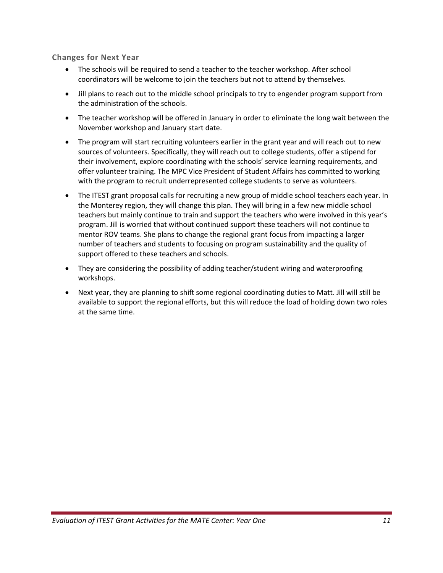**Changes for Next Year**

- The schools will be required to send a teacher to the teacher workshop. After school coordinators will be welcome to join the teachers but not to attend by themselves.
- Jill plans to reach out to the middle school principals to try to engender program support from the administration of the schools.
- The teacher workshop will be offered in January in order to eliminate the long wait between the November workshop and January start date.
- The program will start recruiting volunteers earlier in the grant year and will reach out to new sources of volunteers. Specifically, they will reach out to college students, offer a stipend for their involvement, explore coordinating with the schools' service learning requirements, and offer volunteer training. The MPC Vice President of Student Affairs has committed to working with the program to recruit underrepresented college students to serve as volunteers.
- The ITEST grant proposal calls for recruiting a new group of middle school teachers each year. In the Monterey region, they will change this plan. They will bring in a few new middle school teachers but mainly continue to train and support the teachers who were involved in this year's program. Jill is worried that without continued support these teachers will not continue to mentor ROV teams. She plans to change the regional grant focus from impacting a larger number of teachers and students to focusing on program sustainability and the quality of support offered to these teachers and schools.
- They are considering the possibility of adding teacher/student wiring and waterproofing workshops.
- Next year, they are planning to shift some regional coordinating duties to Matt. Jill will still be available to support the regional efforts, but this will reduce the load of holding down two roles at the same time.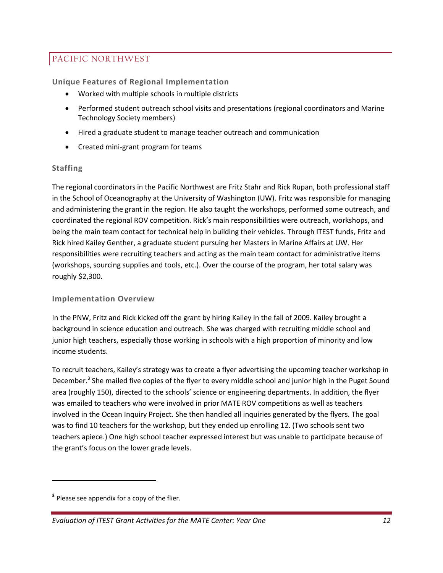## PACIFIC NORTHWEST

**Unique Features of Regional Implementation**

- Worked with multiple schools in multiple districts
- Performed student outreach school visits and presentations (regional coordinators and Marine Technology Society members)
- Hired a graduate student to manage teacher outreach and communication
- Created mini-grant program for teams

#### **Staffing**

The regional coordinators in the Pacific Northwest are Fritz Stahr and Rick Rupan, both professional staff in the School of Oceanography at the University of Washington (UW). Fritz was responsible for managing and administering the grant in the region. He also taught the workshops, performed some outreach, and coordinated the regional ROV competition. Rick's main responsibilities were outreach, workshops, and being the main team contact for technical help in building their vehicles. Through ITEST funds, Fritz and Rick hired Kailey Genther, a graduate student pursuing her Masters in Marine Affairs at UW. Her responsibilities were recruiting teachers and acting as the main team contact for administrative items (workshops, sourcing supplies and tools, etc.). Over the course of the program, her total salary was roughly \$2,300.

#### **Implementation Overview**

In the PNW, Fritz and Rick kicked off the grant by hiring Kailey in the fall of 2009. Kailey brought a background in science education and outreach. She was charged with recruiting middle school and junior high teachers, especially those working in schools with a high proportion of minority and low income students.

To recruit teachers, Kailey's strategy was to create a flyer advertising the upcoming teacher workshop in December.<sup>3</sup> She mailed five copies of the flyer to every middle school and junior high in the Puget Sound area (roughly 150), directed to the schools' science or engineering departments. In addition, the flyer was emailed to teachers who were involved in prior MATE ROV competitions as well as teachers involved in the Ocean Inquiry Project. She then handled all inquiries generated by the flyers. The goal was to find 10 teachers for the workshop, but they ended up enrolling 12. (Two schools sent two teachers apiece.) One high school teacher expressed interest but was unable to participate because of the grant's focus on the lower grade levels.

 $\overline{\phantom{a}}$ 

**<sup>3</sup>** Please see appendix for a copy of the flier.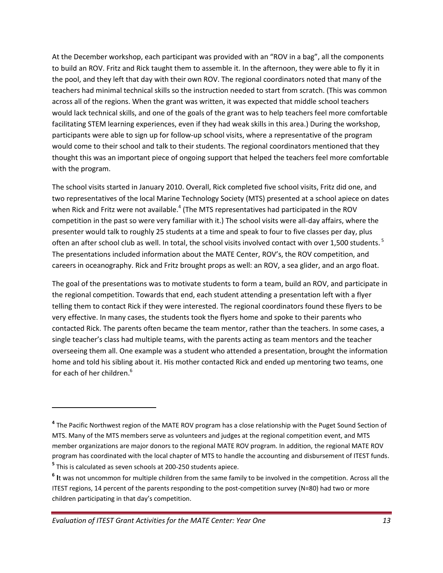At the December workshop, each participant was provided with an "ROV in a bag", all the components to build an ROV. Fritz and Rick taught them to assemble it. In the afternoon, they were able to fly it in the pool, and they left that day with their own ROV. The regional coordinators noted that many of the teachers had minimal technical skills so the instruction needed to start from scratch. (This was common across all of the regions. When the grant was written, it was expected that middle school teachers would lack technical skills, and one of the goals of the grant was to help teachers feel more comfortable facilitating STEM learning experiences, even if they had weak skills in this area.) During the workshop, participants were able to sign up for follow-up school visits, where a representative of the program would come to their school and talk to their students. The regional coordinators mentioned that they thought this was an important piece of ongoing support that helped the teachers feel more comfortable with the program.

The school visits started in January 2010. Overall, Rick completed five school visits, Fritz did one, and two representatives of the local Marine Technology Society (MTS) presented at a school apiece on dates when Rick and Fritz were not available.<sup>4</sup> (The MTS representatives had participated in the ROV competition in the past so were very familiar with it.) The school visits were all-day affairs, where the presenter would talk to roughly 25 students at a time and speak to four to five classes per day, plus often an after school club as well. In total, the school visits involved contact with over 1,500 students.<sup>5</sup> The presentations included information about the MATE Center, ROV's, the ROV competition, and careers in oceanography. Rick and Fritz brought props as well: an ROV, a sea glider, and an argo float.

The goal of the presentations was to motivate students to form a team, build an ROV, and participate in the regional competition. Towards that end, each student attending a presentation left with a flyer telling them to contact Rick if they were interested. The regional coordinators found these flyers to be very effective. In many cases, the students took the flyers home and spoke to their parents who contacted Rick. The parents often became the team mentor, rather than the teachers. In some cases, a single teacher's class had multiple teams, with the parents acting as team mentors and the teacher overseeing them all. One example was a student who attended a presentation, brought the information home and told his sibling about it. His mother contacted Rick and ended up mentoring two teams, one for each of her children.<sup>6</sup>

 $\overline{a}$ 

**<sup>4</sup>** The Pacific Northwest region of the MATE ROV program has a close relationship with the Puget Sound Section of MTS. Many of the MTS members serve as volunteers and judges at the regional competition event, and MTS member organizations are major donors to the regional MATE ROV program. In addition, the regional MATE ROV program has coordinated with the local chapter of MTS to handle the accounting and disbursement of ITEST funds. **5** This is calculated as seven schools at 200-250 students apiece.

**<sup>6</sup> I**t was not uncommon for multiple children from the same family to be involved in the competition. Across all the ITEST regions, 14 percent of the parents responding to the post-competition survey (N=80) had two or more children participating in that day's competition.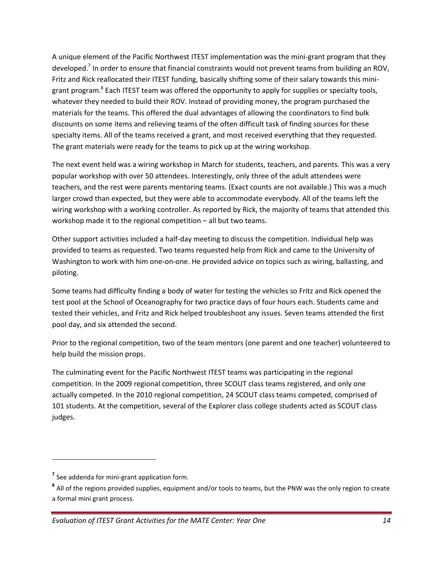A unique element of the Pacific Northwest ITEST implementation was the mini-grant program that they developed.<sup>7</sup> In order to ensure that financial constraints would not prevent teams from building an ROV, Fritz and Rick reallocated their ITEST funding, basically shifting some of their salary towards this minigrant program.<sup>8</sup> Each ITEST team was offered the opportunity to apply for supplies or specialty tools, whatever they needed to build their ROV. Instead of providing money, the program purchased the materials for the teams. This offered the dual advantages of allowing the coordinators to find bulk discounts on some items and relieving teams of the often difficult task of finding sources for these specialty items. All of the teams received a grant, and most received everything that they requested. The grant materials were ready for the teams to pick up at the wiring workshop.

The next event held was a wiring workshop in March for students, teachers, and parents. This was a very popular workshop with over 50 attendees. Interestingly, only three of the adult attendees were teachers, and the rest were parents mentoring teams. (Exact counts are not available.) This was a much larger crowd than expected, but they were able to accommodate everybody. All of the teams left the wiring workshop with a working controller. As reported by Rick, the majority of teams that attended this workshop made it to the regional competition – all but two teams.

Other support activities included a half-day meeting to discuss the competition. Individual help was provided to teams as requested. Two teams requested help from Rick and came to the University of Washington to work with him one-on-one. He provided advice on topics such as wiring, ballasting, and piloting.

Some teams had difficulty finding a body of water for testing the vehicles so Fritz and Rick opened the test pool at the School of Oceanography for two practice days of four hours each. Students came and tested their vehicles, and Fritz and Rick helped troubleshoot any issues. Seven teams attended the first pool day, and six attended the second.

Prior to the regional competition, two of the team mentors (one parent and one teacher) volunteered to help build the mission props.

The culminating event for the Pacific Northwest ITEST teams was participating in the regional competition. In the 2009 regional competition, three SCOUT class teams registered, and only one actually competed. In the 2010 regional competition, 24 SCOUT class teams competed, comprised of 101 students. At the competition, several of the Explorer class college students acted as SCOUT class judges.

 $\overline{\phantom{a}}$ 

**<sup>7</sup>** See addenda for mini-grant application form.

**<sup>8</sup>** All of the regions provided supplies, equipment and/or tools to teams, but the PNW was the only region to create a formal mini grant process.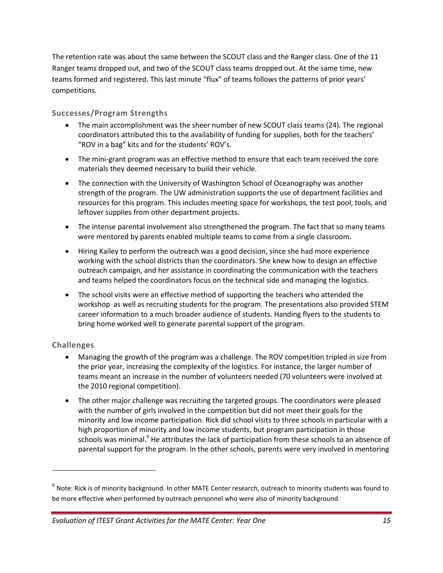The retention rate was about the same between the SCOUT class and the Ranger class. One of the 11 Ranger teams dropped out, and two of the SCOUT class teams dropped out. At the same time, new teams formed and registered. This last minute "flux" of teams follows the patterns of prior years' competitions.

### **Successes/Program Strengths**

- The main accomplishment was the sheer number of new SCOUT class teams (24). The regional coordinators attributed this to the availability of funding for supplies, both for the teachers' "ROV in a bag" kits and for the students' ROV's.
- The mini-grant program was an effective method to ensure that each team received the core materials they deemed necessary to build their vehicle.
- The connection with the University of Washington School of Oceanography was another strength of the program. The UW administration supports the use of department facilities and resources for this program. This includes meeting space for workshops, the test pool, tools, and leftover supplies from other department projects.
- The intense parental involvement also strengthened the program. The fact that so many teams were mentored by parents enabled multiple teams to come from a single classroom.
- Hiring Kailey to perform the outreach was a good decision, since she had more experience working with the school districts than the coordinators. She knew how to design an effective outreach campaign, and her assistance in coordinating the communication with the teachers and teams helped the coordinators focus on the technical side and managing the logistics.
- The school visits were an effective method of supporting the teachers who attended the workshop as well as recruiting students for the program. The presentations also provided STEM career information to a much broader audience of students. Handing flyers to the students to bring home worked well to generate parental support of the program.

#### **Challenges**

 $\overline{\phantom{a}}$ 

- Managing the growth of the program was a challenge. The ROV competition tripled in size from the prior year, increasing the complexity of the logistics. For instance, the larger number of teams meant an increase in the number of volunteers needed (70 volunteers were involved at the 2010 regional competition).
- The other major challenge was recruiting the targeted groups. The coordinators were pleased with the number of girls involved in the competition but did not meet their goals for the minority and low income participation. Rick did school visits to three schools in particular with a high proportion of minority and low income students, but program participation in those schools was minimal.<sup>9</sup> He attributes the lack of participation from these schools to an absence of parental support for the program. In the other schools, parents were very involved in mentoring

<sup>&</sup>lt;sup>9</sup> Note: Rick is of minority background. In other MATE Center research, outreach to minority students was found to be more effective when performed by outreach personnel who were also of minority background.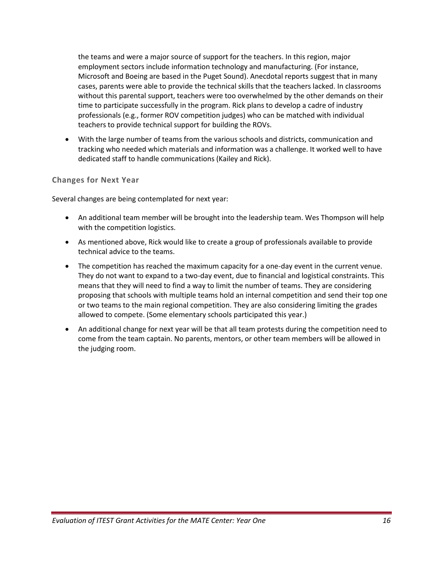the teams and were a major source of support for the teachers. In this region, major employment sectors include information technology and manufacturing. (For instance, Microsoft and Boeing are based in the Puget Sound). Anecdotal reports suggest that in many cases, parents were able to provide the technical skills that the teachers lacked. In classrooms without this parental support, teachers were too overwhelmed by the other demands on their time to participate successfully in the program. Rick plans to develop a cadre of industry professionals (e.g., former ROV competition judges) who can be matched with individual teachers to provide technical support for building the ROVs.

 With the large number of teams from the various schools and districts, communication and tracking who needed which materials and information was a challenge. It worked well to have dedicated staff to handle communications (Kailey and Rick).

#### **Changes for Next Year**

Several changes are being contemplated for next year:

- An additional team member will be brought into the leadership team. Wes Thompson will help with the competition logistics.
- As mentioned above, Rick would like to create a group of professionals available to provide technical advice to the teams.
- The competition has reached the maximum capacity for a one-day event in the current venue. They do not want to expand to a two-day event, due to financial and logistical constraints. This means that they will need to find a way to limit the number of teams. They are considering proposing that schools with multiple teams hold an internal competition and send their top one or two teams to the main regional competition. They are also considering limiting the grades allowed to compete. (Some elementary schools participated this year.)
- An additional change for next year will be that all team protests during the competition need to come from the team captain. No parents, mentors, or other team members will be allowed in the judging room.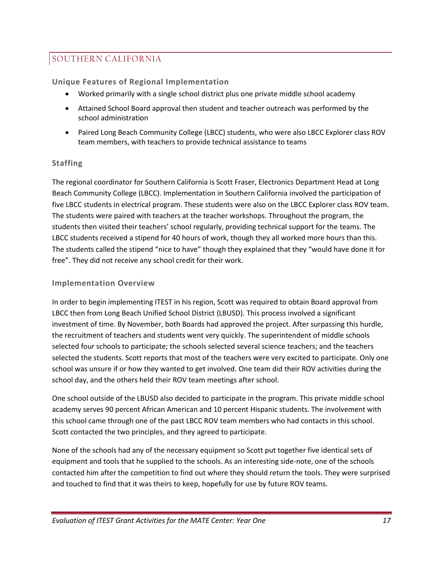## SOUTHERN CALIFORNIA

**Unique Features of Regional Implementation**

- Worked primarily with a single school district plus one private middle school academy
- Attained School Board approval then student and teacher outreach was performed by the school administration
- Paired Long Beach Community College (LBCC) students, who were also LBCC Explorer class ROV team members, with teachers to provide technical assistance to teams

#### **Staffing**

The regional coordinator for Southern California is Scott Fraser, Electronics Department Head at Long Beach Community College (LBCC). Implementation in Southern California involved the participation of five LBCC students in electrical program. These students were also on the LBCC Explorer class ROV team. The students were paired with teachers at the teacher workshops. Throughout the program, the students then visited their teachers' school regularly, providing technical support for the teams. The LBCC students received a stipend for 40 hours of work, though they all worked more hours than this. The students called the stipend "nice to have" though they explained that they "would have done it for free". They did not receive any school credit for their work.

#### **Implementation Overview**

In order to begin implementing ITEST in his region, Scott was required to obtain Board approval from LBCC then from Long Beach Unified School District (LBUSD). This process involved a significant investment of time. By November, both Boards had approved the project. After surpassing this hurdle, the recruitment of teachers and students went very quickly. The superintendent of middle schools selected four schools to participate; the schools selected several science teachers; and the teachers selected the students. Scott reports that most of the teachers were very excited to participate. Only one school was unsure if or how they wanted to get involved. One team did their ROV activities during the school day, and the others held their ROV team meetings after school.

One school outside of the LBUSD also decided to participate in the program. This private middle school academy serves 90 percent African American and 10 percent Hispanic students. The involvement with this school came through one of the past LBCC ROV team members who had contacts in this school. Scott contacted the two principles, and they agreed to participate.

None of the schools had any of the necessary equipment so Scott put together five identical sets of equipment and tools that he supplied to the schools. As an interesting side-note, one of the schools contacted him after the competition to find out where they should return the tools. They were surprised and touched to find that it was theirs to keep, hopefully for use by future ROV teams.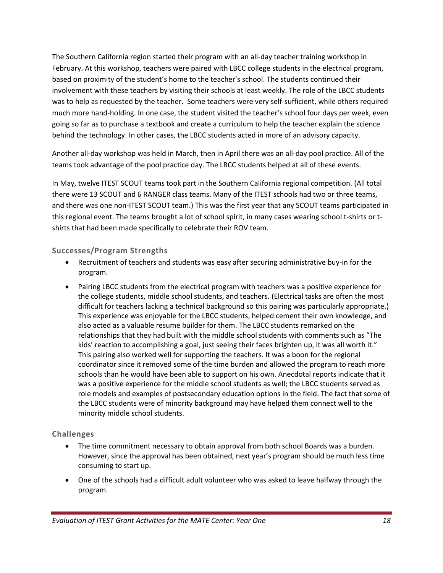The Southern California region started their program with an all-day teacher training workshop in February. At this workshop, teachers were paired with LBCC college students in the electrical program, based on proximity of the student's home to the teacher's school. The students continued their involvement with these teachers by visiting their schools at least weekly. The role of the LBCC students was to help as requested by the teacher. Some teachers were very self-sufficient, while others required much more hand-holding. In one case, the student visited the teacher's school four days per week, even going so far as to purchase a textbook and create a curriculum to help the teacher explain the science behind the technology. In other cases, the LBCC students acted in more of an advisory capacity.

Another all-day workshop was held in March, then in April there was an all-day pool practice. All of the teams took advantage of the pool practice day. The LBCC students helped at all of these events.

In May, twelve ITEST SCOUT teams took part in the Southern California regional competition. (All total there were 13 SCOUT and 6 RANGER class teams. Many of the ITEST schools had two or three teams, and there was one non-ITEST SCOUT team.) This was the first year that any SCOUT teams participated in this regional event. The teams brought a lot of school spirit, in many cases wearing school t-shirts or tshirts that had been made specifically to celebrate their ROV team.

#### **Successes/Program Strengths**

- Recruitment of teachers and students was easy after securing administrative buy-in for the program.
- Pairing LBCC students from the electrical program with teachers was a positive experience for the college students, middle school students, and teachers. (Electrical tasks are often the most difficult for teachers lacking a technical background so this pairing was particularly appropriate.) This experience was enjoyable for the LBCC students, helped cement their own knowledge, and also acted as a valuable resume builder for them. The LBCC students remarked on the relationships that they had built with the middle school students with comments such as "The kids' reaction to accomplishing a goal, just seeing their faces brighten up, it was all worth it." This pairing also worked well for supporting the teachers. It was a boon for the regional coordinator since it removed some of the time burden and allowed the program to reach more schools than he would have been able to support on his own. Anecdotal reports indicate that it was a positive experience for the middle school students as well; the LBCC students served as role models and examples of postsecondary education options in the field. The fact that some of the LBCC students were of minority background may have helped them connect well to the minority middle school students.

### **Challenges**

- The time commitment necessary to obtain approval from both school Boards was a burden. However, since the approval has been obtained, next year's program should be much less time consuming to start up.
- One of the schools had a difficult adult volunteer who was asked to leave halfway through the program.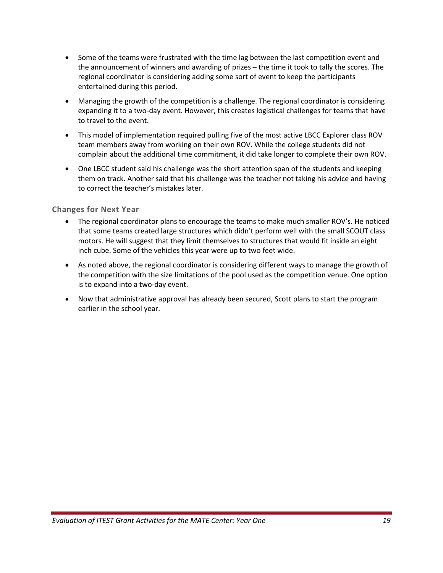- Some of the teams were frustrated with the time lag between the last competition event and the announcement of winners and awarding of prizes – the time it took to tally the scores. The regional coordinator is considering adding some sort of event to keep the participants entertained during this period.
- Managing the growth of the competition is a challenge. The regional coordinator is considering expanding it to a two-day event. However, this creates logistical challenges for teams that have to travel to the event.
- This model of implementation required pulling five of the most active LBCC Explorer class ROV team members away from working on their own ROV. While the college students did not complain about the additional time commitment, it did take longer to complete their own ROV.
- One LBCC student said his challenge was the short attention span of the students and keeping them on track. Another said that his challenge was the teacher not taking his advice and having to correct the teacher's mistakes later.

#### **Changes for Next Year**

- The regional coordinator plans to encourage the teams to make much smaller ROV's. He noticed that some teams created large structures which didn't perform well with the small SCOUT class motors. He will suggest that they limit themselves to structures that would fit inside an eight inch cube. Some of the vehicles this year were up to two feet wide.
- As noted above, the regional coordinator is considering different ways to manage the growth of the competition with the size limitations of the pool used as the competition venue. One option is to expand into a two-day event.
- Now that administrative approval has already been secured, Scott plans to start the program earlier in the school year.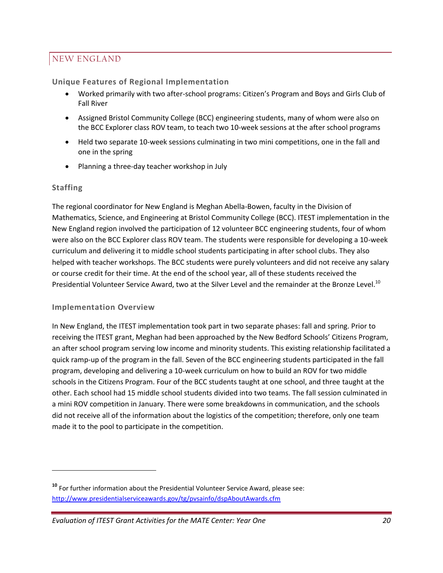## NEW ENGLAND

### **Unique Features of Regional Implementation**

- Worked primarily with two after-school programs: Citizen's Program and Boys and Girls Club of Fall River
- Assigned Bristol Community College (BCC) engineering students, many of whom were also on the BCC Explorer class ROV team, to teach two 10-week sessions at the after school programs
- Held two separate 10-week sessions culminating in two mini competitions, one in the fall and one in the spring
- Planning a three-day teacher workshop in July

#### **Staffing**

 $\overline{\phantom{a}}$ 

The regional coordinator for New England is Meghan Abella-Bowen, faculty in the Division of Mathematics, Science, and Engineering at Bristol Community College (BCC). ITEST implementation in the New England region involved the participation of 12 volunteer BCC engineering students, four of whom were also on the BCC Explorer class ROV team. The students were responsible for developing a 10-week curriculum and delivering it to middle school students participating in after school clubs. They also helped with teacher workshops. The BCC students were purely volunteers and did not receive any salary or course credit for their time. At the end of the school year, all of these students received the Presidential Volunteer Service Award, two at the Silver Level and the remainder at the Bronze Level.<sup>10</sup>

### **Implementation Overview**

In New England, the ITEST implementation took part in two separate phases: fall and spring. Prior to receiving the ITEST grant, Meghan had been approached by the New Bedford Schools' Citizens Program, an after school program serving low income and minority students. This existing relationship facilitated a quick ramp-up of the program in the fall. Seven of the BCC engineering students participated in the fall program, developing and delivering a 10-week curriculum on how to build an ROV for two middle schools in the Citizens Program. Four of the BCC students taught at one school, and three taught at the other. Each school had 15 middle school students divided into two teams. The fall session culminated in a mini ROV competition in January. There were some breakdowns in communication, and the schools did not receive all of the information about the logistics of the competition; therefore, only one team made it to the pool to participate in the competition.

**<sup>10</sup>** For further information about the Presidential Volunteer Service Award, please see: <http://www.presidentialserviceawards.gov/tg/pvsainfo/dspAboutAwards.cfm>

*Evaluation of ITEST Grant Activities for the MATE Center: Year One 20*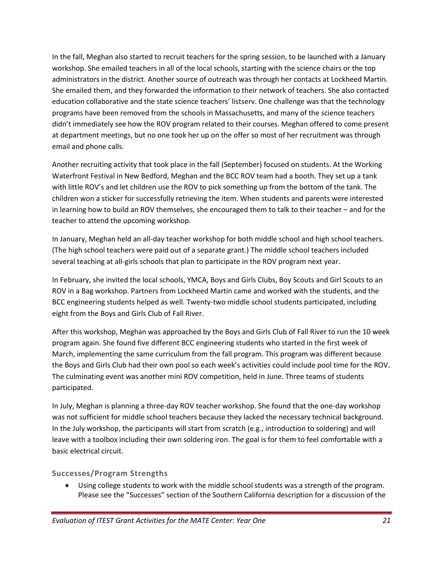In the fall, Meghan also started to recruit teachers for the spring session, to be launched with a January workshop. She emailed teachers in all of the local schools, starting with the science chairs or the top administrators in the district. Another source of outreach was through her contacts at Lockheed Martin. She emailed them, and they forwarded the information to their network of teachers. She also contacted education collaborative and the state science teachers' listserv. One challenge was that the technology programs have been removed from the schools in Massachusetts, and many of the science teachers didn't immediately see how the ROV program related to their courses. Meghan offered to come present at department meetings, but no one took her up on the offer so most of her recruitment was through email and phone calls.

Another recruiting activity that took place in the fall (September) focused on students. At the Working Waterfront Festival in New Bedford, Meghan and the BCC ROV team had a booth. They set up a tank with little ROV's and let children use the ROV to pick something up from the bottom of the tank. The children won a sticker for successfully retrieving the item. When students and parents were interested in learning how to build an ROV themselves, she encouraged them to talk to their teacher – and for the teacher to attend the upcoming workshop.

In January, Meghan held an all-day teacher workshop for both middle school and high school teachers. (The high school teachers were paid out of a separate grant.) The middle school teachers included several teaching at all-girls schools that plan to participate in the ROV program next year.

In February, she invited the local schools, YMCA, Boys and Girls Clubs, Boy Scouts and Girl Scouts to an ROV in a Bag workshop. Partners from Lockheed Martin came and worked with the students, and the BCC engineering students helped as well. Twenty-two middle school students participated, including eight from the Boys and Girls Club of Fall River.

After this workshop, Meghan was approached by the Boys and Girls Club of Fall River to run the 10 week program again. She found five different BCC engineering students who started in the first week of March, implementing the same curriculum from the fall program. This program was different because the Boys and Girls Club had their own pool so each week's activities could include pool time for the ROV. The culminating event was another mini ROV competition, held in June. Three teams of students participated.

In July, Meghan is planning a three-day ROV teacher workshop. She found that the one-day workshop was not sufficient for middle school teachers because they lacked the necessary technical background. In the July workshop, the participants will start from scratch (e.g., introduction to soldering) and will leave with a toolbox including their own soldering iron. The goal is for them to feel comfortable with a basic electrical circuit.

## **Successes/Program Strengths**

 Using college students to work with the middle school students was a strength of the program. Please see the "Successes" section of the Southern California description for a discussion of the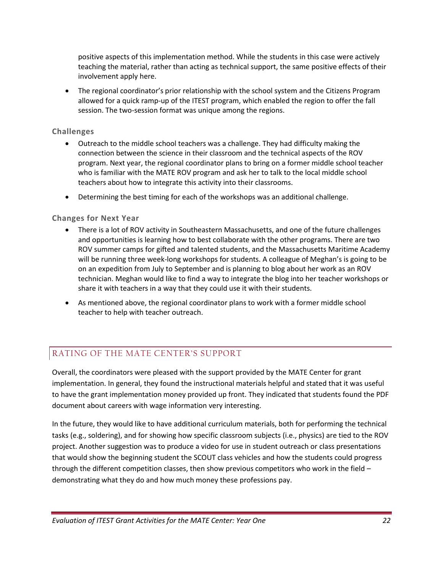positive aspects of this implementation method. While the students in this case were actively teaching the material, rather than acting as technical support, the same positive effects of their involvement apply here.

• The regional coordinator's prior relationship with the school system and the Citizens Program allowed for a quick ramp-up of the ITEST program, which enabled the region to offer the fall session. The two-session format was unique among the regions.

#### **Challenges**

- Outreach to the middle school teachers was a challenge. They had difficulty making the connection between the science in their classroom and the technical aspects of the ROV program. Next year, the regional coordinator plans to bring on a former middle school teacher who is familiar with the MATE ROV program and ask her to talk to the local middle school teachers about how to integrate this activity into their classrooms.
- Determining the best timing for each of the workshops was an additional challenge.

#### **Changes for Next Year**

- There is a lot of ROV activity in Southeastern Massachusetts, and one of the future challenges and opportunities is learning how to best collaborate with the other programs. There are two ROV summer camps for gifted and talented students, and the Massachusetts Maritime Academy will be running three week-long workshops for students. A colleague of Meghan's is going to be on an expedition from July to September and is planning to blog about her work as an ROV technician. Meghan would like to find a way to integrate the blog into her teacher workshops or share it with teachers in a way that they could use it with their students.
- As mentioned above, the regional coordinator plans to work with a former middle school teacher to help with teacher outreach.

## RATING OF THE MATE CENTER'S SUPPORT

Overall, the coordinators were pleased with the support provided by the MATE Center for grant implementation. In general, they found the instructional materials helpful and stated that it was useful to have the grant implementation money provided up front. They indicated that students found the PDF document about careers with wage information very interesting.

In the future, they would like to have additional curriculum materials, both for performing the technical tasks (e.g., soldering), and for showing how specific classroom subjects (i.e., physics) are tied to the ROV project. Another suggestion was to produce a video for use in student outreach or class presentations that would show the beginning student the SCOUT class vehicles and how the students could progress through the different competition classes, then show previous competitors who work in the field – demonstrating what they do and how much money these professions pay.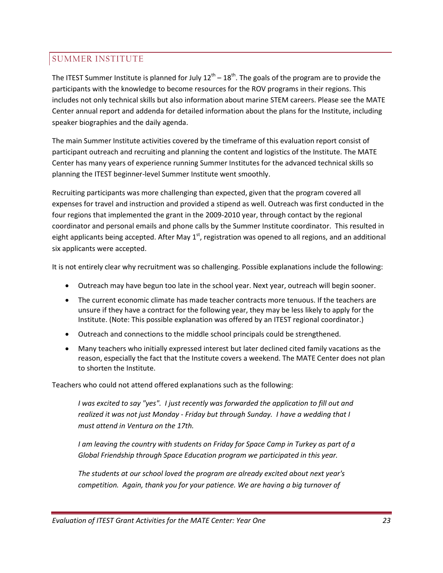## SUMMER INSTITUTE

The ITEST Summer Institute is planned for July  $12^{\text{th}} - 18^{\text{th}}$ . The goals of the program are to provide the participants with the knowledge to become resources for the ROV programs in their regions. This includes not only technical skills but also information about marine STEM careers. Please see the MATE Center annual report and addenda for detailed information about the plans for the Institute, including speaker biographies and the daily agenda.

The main Summer Institute activities covered by the timeframe of this evaluation report consist of participant outreach and recruiting and planning the content and logistics of the Institute. The MATE Center has many years of experience running Summer Institutes for the advanced technical skills so planning the ITEST beginner-level Summer Institute went smoothly.

Recruiting participants was more challenging than expected, given that the program covered all expenses for travel and instruction and provided a stipend as well. Outreach was first conducted in the four regions that implemented the grant in the 2009-2010 year, through contact by the regional coordinator and personal emails and phone calls by the Summer Institute coordinator. This resulted in eight applicants being accepted. After May  $1<sup>st</sup>$ , registration was opened to all regions, and an additional six applicants were accepted.

It is not entirely clear why recruitment was so challenging. Possible explanations include the following:

- Outreach may have begun too late in the school year. Next year, outreach will begin sooner.
- The current economic climate has made teacher contracts more tenuous. If the teachers are unsure if they have a contract for the following year, they may be less likely to apply for the Institute. (Note: This possible explanation was offered by an ITEST regional coordinator.)
- Outreach and connections to the middle school principals could be strengthened.
- Many teachers who initially expressed interest but later declined cited family vacations as the reason, especially the fact that the Institute covers a weekend. The MATE Center does not plan to shorten the Institute.

Teachers who could not attend offered explanations such as the following:

*I was excited to say "yes". I just recently was forwarded the application to fill out and realized it was not just Monday - Friday but through Sunday. I have a wedding that I must attend in Ventura on the 17th.* 

*I am leaving the country with students on Friday for Space Camp in Turkey as part of a Global Friendship through Space Education program we participated in this year.*

*The students at our school loved the program are already excited about next year's competition. Again, thank you for your patience. We are having a big turnover of*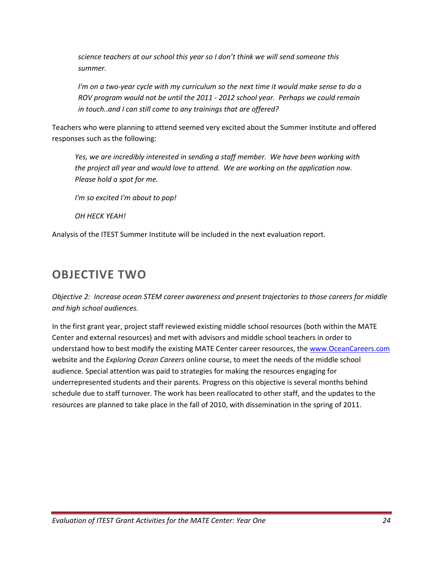*science teachers at our school this year so I don't think we will send someone this summer.*

*I'm on a two-year cycle with my curriculum so the next time it would make sense to do a ROV program would not be until the 2011 - 2012 school year. Perhaps we could remain in touch..and I can still come to any trainings that are offered?* 

Teachers who were planning to attend seemed very excited about the Summer Institute and offered responses such as the following:

*Yes, we are incredibly interested in sending a staff member. We have been working with the project all year and would love to attend. We are working on the application now. Please hold a spot for me.*

*I'm so excited I'm about to pop!*

*OH HECK YEAH!*

Analysis of the ITEST Summer Institute will be included in the next evaluation report.

## **OBJECTIVE TWO**

*Objective 2: Increase ocean STEM career awareness and present trajectories to those careers for middle and high school audiences.*

In the first grant year, project staff reviewed existing middle school resources (both within the MATE Center and external resources) and met with advisors and middle school teachers in order to understand how to best modify the existing MATE Center career resources, the [www.OceanCareers.com](http://www.oceancareers.com/) website and the *Exploring Ocean Careers* online course, to meet the needs of the middle school audience. Special attention was paid to strategies for making the resources engaging for underrepresented students and their parents. Progress on this objective is several months behind schedule due to staff turnover. The work has been reallocated to other staff, and the updates to the resources are planned to take place in the fall of 2010, with dissemination in the spring of 2011.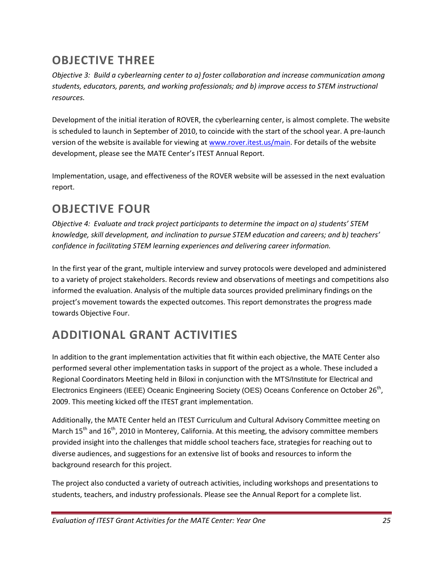## **OBJECTIVE THREE**

*Objective 3: Build a cyberlearning center to a) foster collaboration and increase communication among students, educators, parents, and working professionals; and b) improve access to STEM instructional resources.*

Development of the initial iteration of ROVER, the cyberlearning center, is almost complete. The website is scheduled to launch in September of 2010, to coincide with the start of the school year. A pre-launch version of the website is available for viewing at [www.rover.itest.us/main.](http://www.rover.itest.us/main) For details of the website development, please see the MATE Center's ITEST Annual Report.

Implementation, usage, and effectiveness of the ROVER website will be assessed in the next evaluation report.

## **OBJECTIVE FOUR**

*Objective 4: Evaluate and track project participants to determine the impact on a) students' STEM knowledge, skill development, and inclination to pursue STEM education and careers; and b) teachers' confidence in facilitating STEM learning experiences and delivering career information.*

In the first year of the grant, multiple interview and survey protocols were developed and administered to a variety of project stakeholders. Records review and observations of meetings and competitions also informed the evaluation. Analysis of the multiple data sources provided preliminary findings on the project's movement towards the expected outcomes. This report demonstrates the progress made towards Objective Four.

## **ADDITIONAL GRANT ACTIVITIES**

In addition to the grant implementation activities that fit within each objective, the MATE Center also performed several other implementation tasks in support of the project as a whole. These included a Regional Coordinators Meeting held in Biloxi in conjunction with the MTS/Institute for Electrical and Electronics Engineers (IEEE) Oceanic Engineering Society (OES) Oceans Conference on October 26<sup>th</sup>, 2009. This meeting kicked off the ITEST grant implementation.

Additionally, the MATE Center held an ITEST Curriculum and Cultural Advisory Committee meeting on March  $15<sup>th</sup>$  and  $16<sup>th</sup>$ , 2010 in Monterey, California. At this meeting, the advisory committee members provided insight into the challenges that middle school teachers face, strategies for reaching out to diverse audiences, and suggestions for an extensive list of books and resources to inform the background research for this project.

The project also conducted a variety of outreach activities, including workshops and presentations to students, teachers, and industry professionals. Please see the Annual Report for a complete list.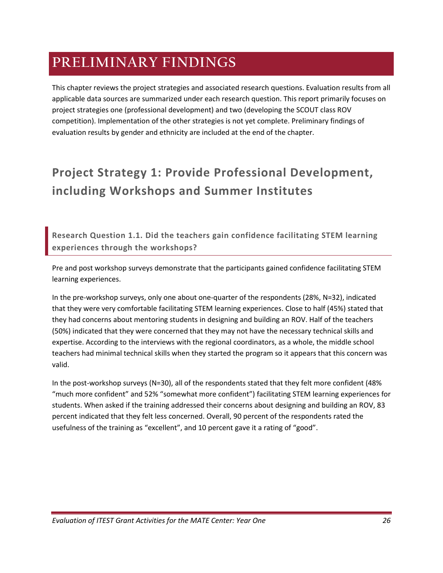## **PRELIMINARY FINDINGS**

This chapter reviews the project strategies and associated research questions. Evaluation results from all applicable data sources are summarized under each research question. This report primarily focuses on project strategies one (professional development) and two (developing the SCOUT class ROV competition). Implementation of the other strategies is not yet complete. Preliminary findings of evaluation results by gender and ethnicity are included at the end of the chapter.

## **Project Strategy 1: Provide Professional Development, including Workshops and Summer Institutes**

**Research Question 1.1. Did the teachers gain confidence facilitating STEM learning experiences through the workshops?**

Pre and post workshop surveys demonstrate that the participants gained confidence facilitating STEM learning experiences.

In the pre-workshop surveys, only one about one-quarter of the respondents (28%, N=32), indicated that they were very comfortable facilitating STEM learning experiences. Close to half (45%) stated that they had concerns about mentoring students in designing and building an ROV. Half of the teachers (50%) indicated that they were concerned that they may not have the necessary technical skills and expertise. According to the interviews with the regional coordinators, as a whole, the middle school teachers had minimal technical skills when they started the program so it appears that this concern was valid.

In the post-workshop surveys (N=30), all of the respondents stated that they felt more confident (48% "much more confident" and 52% "somewhat more confident") facilitating STEM learning experiences for students. When asked if the training addressed their concerns about designing and building an ROV, 83 percent indicated that they felt less concerned. Overall, 90 percent of the respondents rated the usefulness of the training as "excellent", and 10 percent gave it a rating of "good".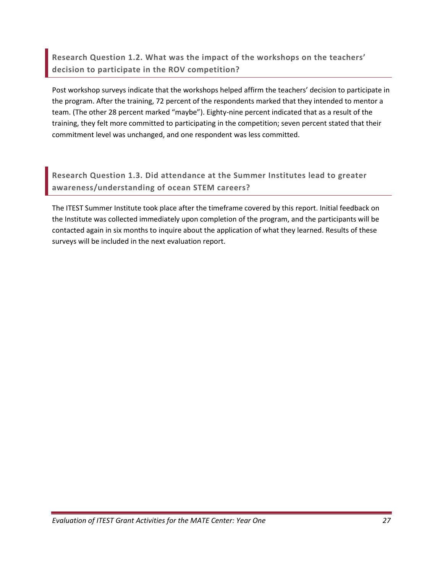**Research Question 1.2. What was the impact of the workshops on the teachers' decision to participate in the ROV competition?** 

Post workshop surveys indicate that the workshops helped affirm the teachers' decision to participate in the program. After the training, 72 percent of the respondents marked that they intended to mentor a team. (The other 28 percent marked "maybe"). Eighty-nine percent indicated that as a result of the training, they felt more committed to participating in the competition; seven percent stated that their commitment level was unchanged, and one respondent was less committed.

**Research Question 1.3. Did attendance at the Summer Institutes lead to greater awareness/understanding of ocean STEM careers?**

The ITEST Summer Institute took place after the timeframe covered by this report. Initial feedback on the Institute was collected immediately upon completion of the program, and the participants will be contacted again in six months to inquire about the application of what they learned. Results of these surveys will be included in the next evaluation report.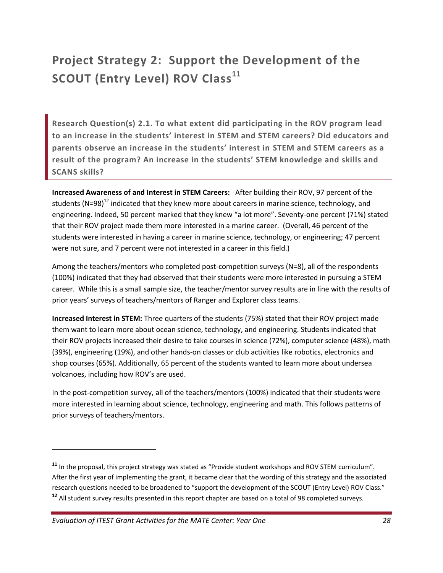## **Project Strategy 2: Support the Development of the SCOUT (Entry Level) ROV Class<sup>11</sup>**

**Research Question(s) 2.1. To what extent did participating in the ROV program lead to an increase in the students' interest in STEM and STEM careers? Did educators and parents observe an increase in the students' interest in STEM and STEM careers as a result of the program? An increase in the students' STEM knowledge and skills and SCANS skills?**

**Increased Awareness of and Interest in STEM Careers:** After building their ROV, 97 percent of the students (N=98)<sup>12</sup> indicated that they knew more about careers in marine science, technology, and engineering. Indeed, 50 percent marked that they knew "a lot more". Seventy-one percent (71%) stated that their ROV project made them more interested in a marine career. (Overall, 46 percent of the students were interested in having a career in marine science, technology, or engineering; 47 percent were not sure, and 7 percent were not interested in a career in this field.)

Among the teachers/mentors who completed post-competition surveys (N=8), all of the respondents (100%) indicated that they had observed that their students were more interested in pursuing a STEM career. While this is a small sample size, the teacher/mentor survey results are in line with the results of prior years' surveys of teachers/mentors of Ranger and Explorer class teams.

**Increased Interest in STEM:** Three quarters of the students (75%) stated that their ROV project made them want to learn more about ocean science, technology, and engineering. Students indicated that their ROV projects increased their desire to take courses in science (72%), computer science (48%), math (39%), engineering (19%), and other hands-on classes or club activities like robotics, electronics and shop courses (65%). Additionally, 65 percent of the students wanted to learn more about undersea volcanoes, including how ROV's are used.

In the post-competition survey, all of the teachers/mentors (100%) indicated that their students were more interested in learning about science, technology, engineering and math. This follows patterns of prior surveys of teachers/mentors.

l

**<sup>11</sup>** In the proposal, this project strategy was stated as "Provide student workshops and ROV STEM curriculum". After the first year of implementing the grant, it became clear that the wording of this strategy and the associated research questions needed to be broadened to "support the development of the SCOUT (Entry Level) ROV Class." **<sup>12</sup>** All student survey results presented in this report chapter are based on a total of 98 completed surveys.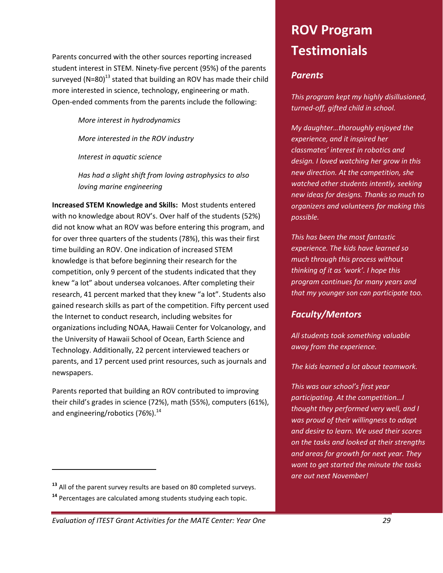Parents concurred with the other sources reporting increased student interest in STEM. Ninety-five percent (95%) of the parents surveyed (N=80) $^{13}$  stated that building an ROV has made their child more interested in science, technology, engineering or math. Open-ended comments from the parents include the following:

*More interest in hydrodynamics*

*More interested in the ROV industry*

*Interest in aquatic science*

*Has had a slight shift from loving astrophysics to also loving marine engineering*

**Increased STEM Knowledge and Skills:** Most students entered with no knowledge about ROV's. Over half of the students (52%) did not know what an ROV was before entering this program, and for over three quarters of the students (78%), this was their first time building an ROV. One indication of increased STEM knowledge is that before beginning their research for the competition, only 9 percent of the students indicated that they knew "a lot" about undersea volcanoes. After completing their research, 41 percent marked that they knew "a lot". Students also gained research skills as part of the competition. Fifty percent used the Internet to conduct research, including websites for organizations including NOAA, Hawaii Center for Volcanology, and the University of Hawaii School of Ocean, Earth Science and Technology. Additionally, 22 percent interviewed teachers or parents, and 17 percent used print resources, such as journals and newspapers.

Parents reported that building an ROV contributed to improving their child's grades in science (72%), math (55%), computers (61%), and engineering/robotics (76%).<sup>14</sup>

l

# **ROV Program Testimonials**

## *Parents*

*This program kept my highly disillusioned, turned-off, gifted child in school.*

*My daughter…thoroughly enjoyed the experience, and it inspired her classmates' interest in robotics and design. I loved watching her grow in this new direction. At the competition, she watched other students intently, seeking new ideas for designs. Thanks so much to organizers and volunteers for making this possible.*

*This has been the most fantastic experience. The kids have learned so much through this process without thinking of it as 'work'. I hope this program continues for many years and that my younger son can participate too.*

## *Faculty/Mentors*

*All students took something valuable away from the experience.*

*The kids learned a lot about teamwork.*

*This was our school's first year participating. At the competition…I thought they performed very well, and I was proud of their willingness to adapt and desire to learn. We used their scores on the tasks and looked at their strengths and areas for growth for next year. They want to get started the minute the tasks are out next November!*

*Evaluation of ITEST Grant Activities for the MATE Center: Year One 29*

**<sup>13</sup>** All of the parent survey results are based on 80 completed surveys.

**<sup>14</sup>** Percentages are calculated among students studying each topic.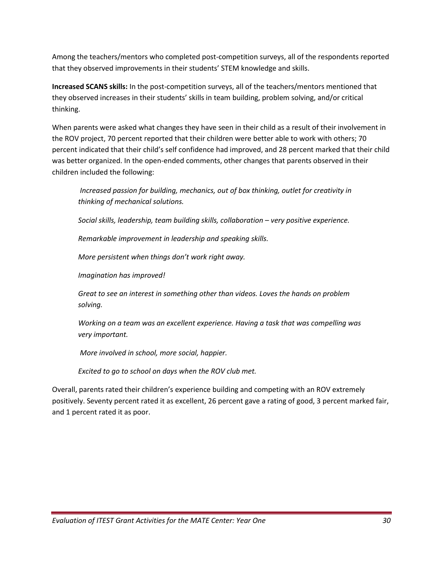Among the teachers/mentors who completed post-competition surveys, all of the respondents reported that they observed improvements in their students' STEM knowledge and skills.

**Increased SCANS skills:** In the post-competition surveys, all of the teachers/mentors mentioned that they observed increases in their students' skills in team building, problem solving, and/or critical thinking.

When parents were asked what changes they have seen in their child as a result of their involvement in the ROV project, 70 percent reported that their children were better able to work with others; 70 percent indicated that their child's self confidence had improved, and 28 percent marked that their child was better organized. In the open-ended comments, other changes that parents observed in their children included the following:

*Increased passion for building, mechanics, out of box thinking, outlet for creativity in thinking of mechanical solutions.*

*Social skills, leadership, team building skills, collaboration – very positive experience.*

*Remarkable improvement in leadership and speaking skills.*

*More persistent when things don't work right away.*

*Imagination has improved!*

*Great to see an interest in something other than videos. Loves the hands on problem solving.*

*Working on a team was an excellent experience. Having a task that was compelling was very important.*

*More involved in school, more social, happier.*

*Excited to go to school on days when the ROV club met.*

Overall, parents rated their children's experience building and competing with an ROV extremely positively. Seventy percent rated it as excellent, 26 percent gave a rating of good, 3 percent marked fair, and 1 percent rated it as poor.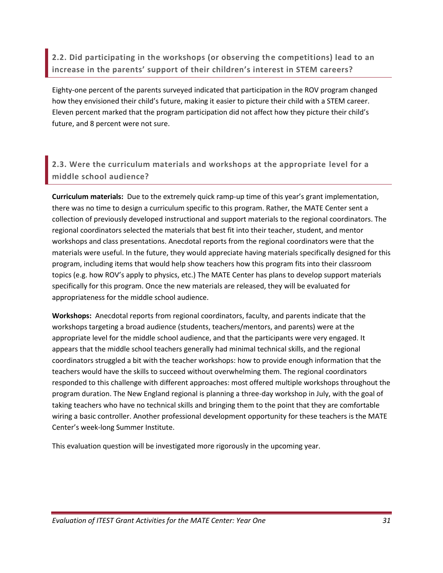**2.2. Did participating in the workshops (or observing the competitions) lead to an increase in the parents' support of their children's interest in STEM careers?**

Eighty-one percent of the parents surveyed indicated that participation in the ROV program changed how they envisioned their child's future, making it easier to picture their child with a STEM career. Eleven percent marked that the program participation did not affect how they picture their child's future, and 8 percent were not sure.

## **2.3. Were the curriculum materials and workshops at the appropriate level for a middle school audience?**

**Curriculum materials:** Due to the extremely quick ramp-up time of this year's grant implementation, there was no time to design a curriculum specific to this program. Rather, the MATE Center sent a collection of previously developed instructional and support materials to the regional coordinators. The regional coordinators selected the materials that best fit into their teacher, student, and mentor workshops and class presentations. Anecdotal reports from the regional coordinators were that the materials were useful. In the future, they would appreciate having materials specifically designed for this program, including items that would help show teachers how this program fits into their classroom topics (e.g. how ROV's apply to physics, etc.) The MATE Center has plans to develop support materials specifically for this program. Once the new materials are released, they will be evaluated for appropriateness for the middle school audience.

**Workshops:** Anecdotal reports from regional coordinators, faculty, and parents indicate that the workshops targeting a broad audience (students, teachers/mentors, and parents) were at the appropriate level for the middle school audience, and that the participants were very engaged. It appears that the middle school teachers generally had minimal technical skills, and the regional coordinators struggled a bit with the teacher workshops: how to provide enough information that the teachers would have the skills to succeed without overwhelming them. The regional coordinators responded to this challenge with different approaches: most offered multiple workshops throughout the program duration. The New England regional is planning a three-day workshop in July, with the goal of taking teachers who have no technical skills and bringing them to the point that they are comfortable wiring a basic controller. Another professional development opportunity for these teachers is the MATE Center's week-long Summer Institute.

This evaluation question will be investigated more rigorously in the upcoming year.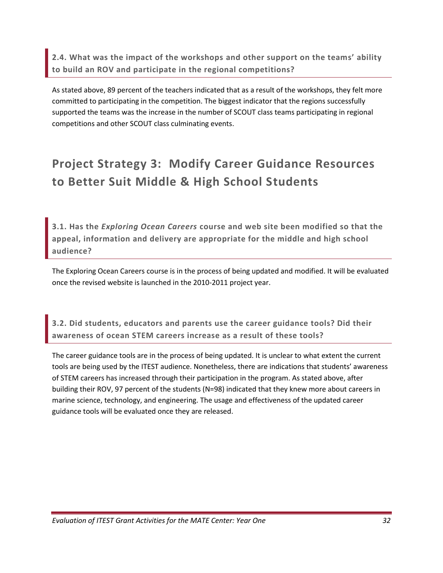**2.4. What was the impact of the workshops and other support on the teams' ability to build an ROV and participate in the regional competitions?**

As stated above, 89 percent of the teachers indicated that as a result of the workshops, they felt more committed to participating in the competition. The biggest indicator that the regions successfully supported the teams was the increase in the number of SCOUT class teams participating in regional competitions and other SCOUT class culminating events.

## **Project Strategy 3: Modify Career Guidance Resources to Better Suit Middle & High School Students**

**3.1. Has the** *Exploring Ocean Careers* **course and web site been modified so that the appeal, information and delivery are appropriate for the middle and high school audience?**

The Exploring Ocean Careers course is in the process of being updated and modified. It will be evaluated once the revised website is launched in the 2010-2011 project year.

**3.2. Did students, educators and parents use the career guidance tools? Did their awareness of ocean STEM careers increase as a result of these tools?**

The career guidance tools are in the process of being updated. It is unclear to what extent the current tools are being used by the ITEST audience. Nonetheless, there are indications that students' awareness of STEM careers has increased through their participation in the program. As stated above, after building their ROV, 97 percent of the students (N=98) indicated that they knew more about careers in marine science, technology, and engineering. The usage and effectiveness of the updated career guidance tools will be evaluated once they are released.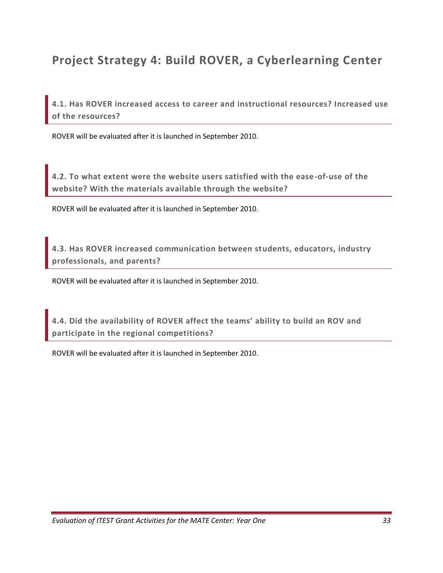## **Project Strategy 4: Build ROVER, a Cyberlearning Center**

**4.1. Has ROVER increased access to career and instructional resources? Increased use of the resources?**

ROVER will be evaluated after it is launched in September 2010.

**4.2. To what extent were the website users satisfied with the ease-of-use of the website? With the materials available through the website?** 

ROVER will be evaluated after it is launched in September 2010.

**4.3. Has ROVER increased communication between students, educators, industry professionals, and parents?** 

ROVER will be evaluated after it is launched in September 2010.

**4.4. Did the availability of ROVER affect the teams' ability to build an ROV and participate in the regional competitions?**

ROVER will be evaluated after it is launched in September 2010.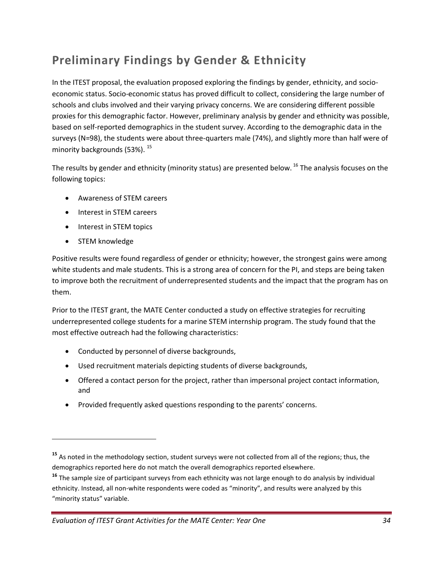## **Preliminary Findings by Gender & Ethnicity**

In the ITEST proposal, the evaluation proposed exploring the findings by gender, ethnicity, and socioeconomic status. Socio-economic status has proved difficult to collect, considering the large number of schools and clubs involved and their varying privacy concerns. We are considering different possible proxies for this demographic factor. However, preliminary analysis by gender and ethnicity was possible, based on self-reported demographics in the student survey. According to the demographic data in the surveys (N=98), the students were about three-quarters male (74%), and slightly more than half were of minority backgrounds (53%). 15

The results by gender and ethnicity (minority status) are presented below. <sup>16</sup> The analysis focuses on the following topics:

- Awareness of STEM careers
- Interest in STEM careers
- Interest in STEM topics
- STEM knowledge

 $\overline{\phantom{a}}$ 

Positive results were found regardless of gender or ethnicity; however, the strongest gains were among white students and male students. This is a strong area of concern for the PI, and steps are being taken to improve both the recruitment of underrepresented students and the impact that the program has on them.

Prior to the ITEST grant, the MATE Center conducted a study on effective strategies for recruiting underrepresented college students for a marine STEM internship program. The study found that the most effective outreach had the following characteristics:

- Conducted by personnel of diverse backgrounds,
- Used recruitment materials depicting students of diverse backgrounds,
- Offered a contact person for the project, rather than impersonal project contact information, and
- Provided frequently asked questions responding to the parents' concerns.

**<sup>15</sup>** As noted in the methodology section, student surveys were not collected from all of the regions; thus, the demographics reported here do not match the overall demographics reported elsewhere.

**<sup>16</sup>** The sample size of participant surveys from each ethnicity was not large enough to do analysis by individual ethnicity. Instead, all non-white respondents were coded as "minority", and results were analyzed by this "minority status" variable.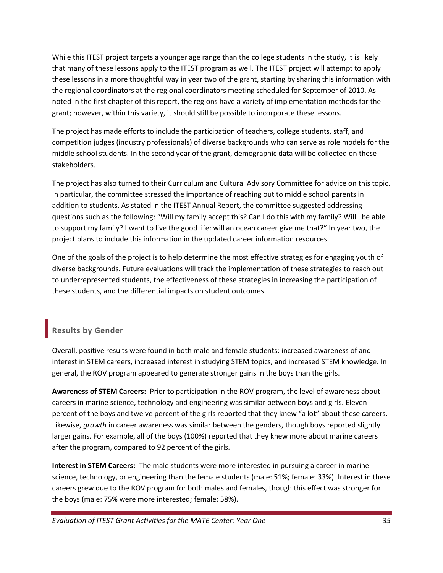While this ITEST project targets a younger age range than the college students in the study, it is likely that many of these lessons apply to the ITEST program as well. The ITEST project will attempt to apply these lessons in a more thoughtful way in year two of the grant, starting by sharing this information with the regional coordinators at the regional coordinators meeting scheduled for September of 2010. As noted in the first chapter of this report, the regions have a variety of implementation methods for the grant; however, within this variety, it should still be possible to incorporate these lessons.

The project has made efforts to include the participation of teachers, college students, staff, and competition judges (industry professionals) of diverse backgrounds who can serve as role models for the middle school students. In the second year of the grant, demographic data will be collected on these stakeholders.

The project has also turned to their Curriculum and Cultural Advisory Committee for advice on this topic. In particular, the committee stressed the importance of reaching out to middle school parents in addition to students. As stated in the ITEST Annual Report, the committee suggested addressing questions such as the following: "Will my family accept this? Can I do this with my family? Will I be able to support my family? I want to live the good life: will an ocean career give me that?" In year two, the project plans to include this information in the updated career information resources.

One of the goals of the project is to help determine the most effective strategies for engaging youth of diverse backgrounds. Future evaluations will track the implementation of these strategies to reach out to underrepresented students, the effectiveness of these strategies in increasing the participation of these students, and the differential impacts on student outcomes.

## **Results by Gender**

Overall, positive results were found in both male and female students: increased awareness of and interest in STEM careers, increased interest in studying STEM topics, and increased STEM knowledge. In general, the ROV program appeared to generate stronger gains in the boys than the girls.

**Awareness of STEM Careers:** Prior to participation in the ROV program, the level of awareness about careers in marine science, technology and engineering was similar between boys and girls. Eleven percent of the boys and twelve percent of the girls reported that they knew "a lot" about these careers. Likewise, *growth* in career awareness was similar between the genders, though boys reported slightly larger gains. For example, all of the boys (100%) reported that they knew more about marine careers after the program, compared to 92 percent of the girls.

**Interest in STEM Careers:** The male students were more interested in pursuing a career in marine science, technology, or engineering than the female students (male: 51%; female: 33%). Interest in these careers grew due to the ROV program for both males and females, though this effect was stronger for the boys (male: 75% were more interested; female: 58%).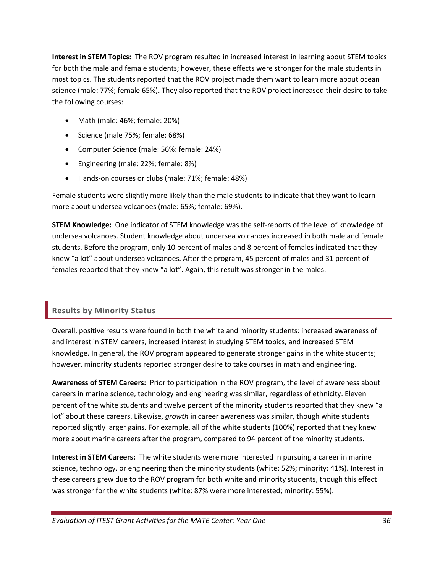**Interest in STEM Topics:** The ROV program resulted in increased interest in learning about STEM topics for both the male and female students; however, these effects were stronger for the male students in most topics. The students reported that the ROV project made them want to learn more about ocean science (male: 77%; female 65%). They also reported that the ROV project increased their desire to take the following courses:

- Math (male: 46%; female: 20%)
- Science (male 75%; female: 68%)
- Computer Science (male: 56%: female: 24%)
- Engineering (male: 22%; female: 8%)
- Hands-on courses or clubs (male: 71%; female: 48%)

Female students were slightly more likely than the male students to indicate that they want to learn more about undersea volcanoes (male: 65%; female: 69%).

**STEM Knowledge:** One indicator of STEM knowledge was the self-reports of the level of knowledge of undersea volcanoes. Student knowledge about undersea volcanoes increased in both male and female students. Before the program, only 10 percent of males and 8 percent of females indicated that they knew "a lot" about undersea volcanoes. After the program, 45 percent of males and 31 percent of females reported that they knew "a lot". Again, this result was stronger in the males.

## **Results by Minority Status**

Overall, positive results were found in both the white and minority students: increased awareness of and interest in STEM careers, increased interest in studying STEM topics, and increased STEM knowledge. In general, the ROV program appeared to generate stronger gains in the white students; however, minority students reported stronger desire to take courses in math and engineering.

**Awareness of STEM Careers:** Prior to participation in the ROV program, the level of awareness about careers in marine science, technology and engineering was similar, regardless of ethnicity. Eleven percent of the white students and twelve percent of the minority students reported that they knew "a lot" about these careers. Likewise, *growth* in career awareness was similar, though white students reported slightly larger gains. For example, all of the white students (100%) reported that they knew more about marine careers after the program, compared to 94 percent of the minority students.

**Interest in STEM Careers:** The white students were more interested in pursuing a career in marine science, technology, or engineering than the minority students (white: 52%; minority: 41%). Interest in these careers grew due to the ROV program for both white and minority students, though this effect was stronger for the white students (white: 87% were more interested; minority: 55%).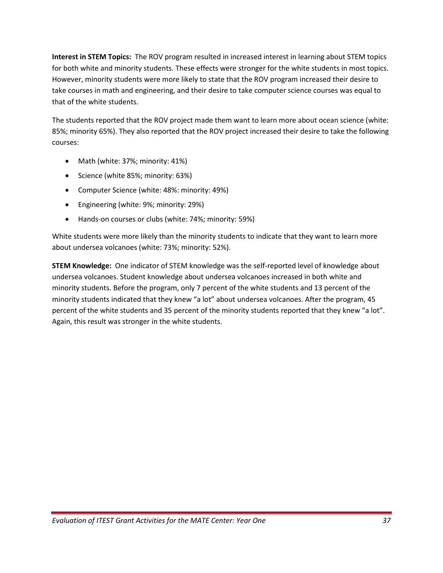**Interest in STEM Topics:** The ROV program resulted in increased interest in learning about STEM topics for both white and minority students. These effects were stronger for the white students in most topics. However, minority students were more likely to state that the ROV program increased their desire to take courses in math and engineering, and their desire to take computer science courses was equal to that of the white students.

The students reported that the ROV project made them want to learn more about ocean science (white: 85%; minority 65%). They also reported that the ROV project increased their desire to take the following courses:

- Math (white: 37%; minority: 41%)
- Science (white 85%; minority: 63%)
- Computer Science (white: 48%: minority: 49%)
- Engineering (white: 9%; minority: 29%)
- Hands-on courses or clubs (white: 74%; minority: 59%)

White students were more likely than the minority students to indicate that they want to learn more about undersea volcanoes (white: 73%; minority: 52%).

**STEM Knowledge:** One indicator of STEM knowledge was the self-reported level of knowledge about undersea volcanoes. Student knowledge about undersea volcanoes increased in both white and minority students. Before the program, only 7 percent of the white students and 13 percent of the minority students indicated that they knew "a lot" about undersea volcanoes. After the program, 45 percent of the white students and 35 percent of the minority students reported that they knew "a lot". Again, this result was stronger in the white students.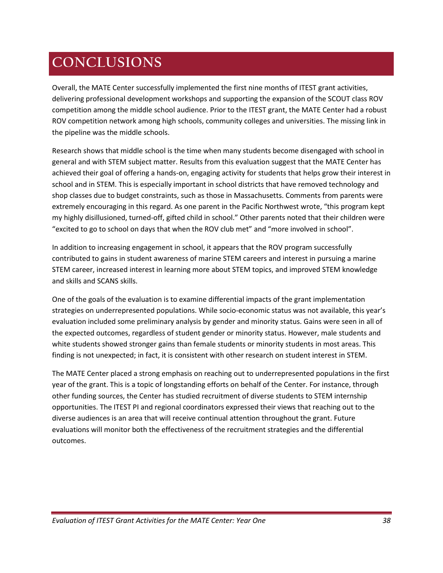# **CONCLUSIONS**

Overall, the MATE Center successfully implemented the first nine months of ITEST grant activities, delivering professional development workshops and supporting the expansion of the SCOUT class ROV competition among the middle school audience. Prior to the ITEST grant, the MATE Center had a robust ROV competition network among high schools, community colleges and universities. The missing link in the pipeline was the middle schools.

Research shows that middle school is the time when many students become disengaged with school in general and with STEM subject matter. Results from this evaluation suggest that the MATE Center has achieved their goal of offering a hands-on, engaging activity for students that helps grow their interest in school and in STEM. This is especially important in school districts that have removed technology and shop classes due to budget constraints, such as those in Massachusetts. Comments from parents were extremely encouraging in this regard. As one parent in the Pacific Northwest wrote, "this program kept my highly disillusioned, turned-off, gifted child in school." Other parents noted that their children were "excited to go to school on days that when the ROV club met" and "more involved in school".

In addition to increasing engagement in school, it appears that the ROV program successfully contributed to gains in student awareness of marine STEM careers and interest in pursuing a marine STEM career, increased interest in learning more about STEM topics, and improved STEM knowledge and skills and SCANS skills.

One of the goals of the evaluation is to examine differential impacts of the grant implementation strategies on underrepresented populations. While socio-economic status was not available, this year's evaluation included some preliminary analysis by gender and minority status. Gains were seen in all of the expected outcomes, regardless of student gender or minority status. However, male students and white students showed stronger gains than female students or minority students in most areas. This finding is not unexpected; in fact, it is consistent with other research on student interest in STEM.

The MATE Center placed a strong emphasis on reaching out to underrepresented populations in the first year of the grant. This is a topic of longstanding efforts on behalf of the Center. For instance, through other funding sources, the Center has studied recruitment of diverse students to STEM internship opportunities. The ITEST PI and regional coordinators expressed their views that reaching out to the diverse audiences is an area that will receive continual attention throughout the grant. Future evaluations will monitor both the effectiveness of the recruitment strategies and the differential outcomes.